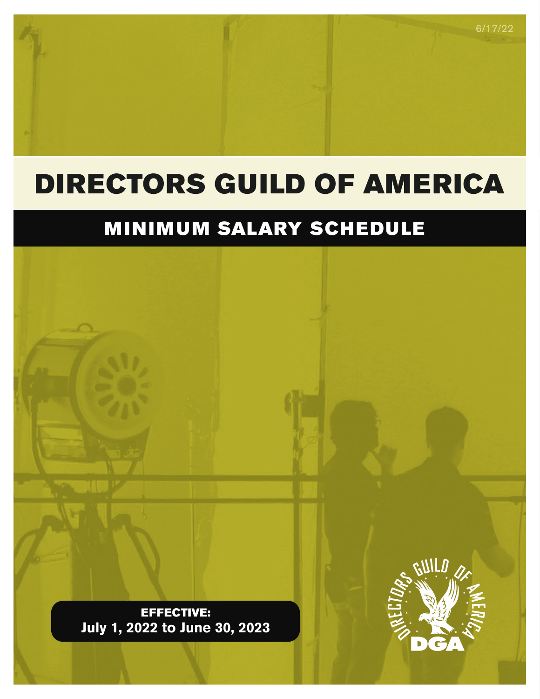# DIRECTORS GUILD OF AMERICA

# MINIMUM SALARY SCHEDULE

EFFECTIVE: **July 1, 2022 to June 30, 2023**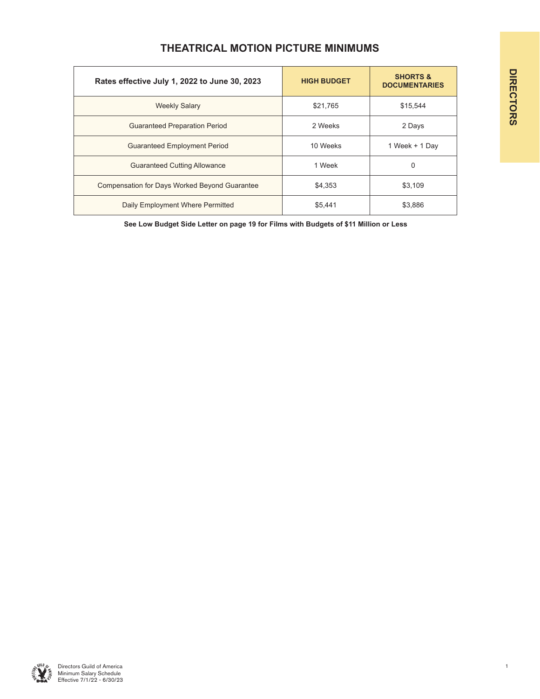| Rates effective July 1, 2022 to June 30, 2023 | <b>HIGH BUDGET</b> | <b>SHORTS &amp;</b><br><b>DOCUMENTARIES</b> |
|-----------------------------------------------|--------------------|---------------------------------------------|
| <b>Weekly Salary</b>                          | \$21.765           | \$15.544                                    |
| <b>Guaranteed Preparation Period</b>          | 2 Weeks            | 2 Days                                      |
| <b>Guaranteed Employment Period</b>           | 10 Weeks           | 1 Week + 1 Day                              |
| <b>Guaranteed Cutting Allowance</b>           | 1 Week             | 0                                           |
| Compensation for Days Worked Beyond Guarantee | \$4,353            | \$3,109                                     |
| Daily Employment Where Permitted              | \$5.441            | \$3.886                                     |

## **THEATRICAL MOTION PICTURE MINIMUMS**

**See Low Budget Side Letter on page 19 for Films with Budgets of \$11 Million or Less**

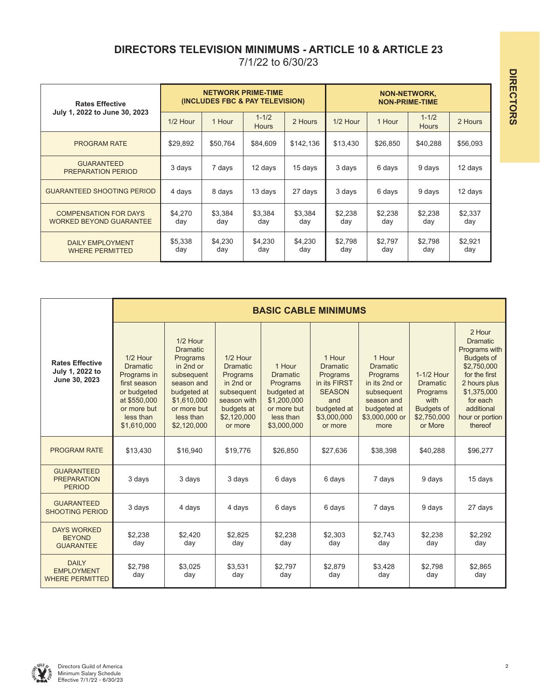## **DIRECTORS TELEVISION MINIMUMS - ARTICLE 10 & ARTICLE 23**

| <b>Rates Effective</b><br>July 1, 2022 to June 30, 2023        |                |                | <b>NETWORK PRIME-TIME</b><br>(INCLUDES FBC & PAY TELEVISION) |                | <b>NON-NETWORK,</b><br><b>NON-PRIME-TIME</b> |                |                           |                |
|----------------------------------------------------------------|----------------|----------------|--------------------------------------------------------------|----------------|----------------------------------------------|----------------|---------------------------|----------------|
|                                                                | $1/2$ Hour     | 1 Hour         | $1 - 1/2$<br><b>Hours</b>                                    | 2 Hours        | $1/2$ Hour                                   | 1 Hour         | $1 - 1/2$<br><b>Hours</b> | 2 Hours        |
| <b>PROGRAM RATE</b>                                            | \$29,892       | \$50.764       | \$84,609                                                     | \$142,136      | \$13,430                                     | \$26,850       | \$40,288                  | \$56,093       |
| <b>GUARANTEED</b><br><b>PREPARATION PERIOD</b>                 | 3 days         | 7 days         | 12 days                                                      | 15 days        | 3 days                                       | 6 days         | 9 days                    | 12 days        |
| <b>GUARANTEED SHOOTING PERIOD</b>                              | 4 days         | 8 days         | 13 days                                                      | 27 days        | 3 days                                       | 6 days         | 9 days                    | 12 days        |
| <b>COMPENSATION FOR DAYS</b><br><b>WORKED BEYOND GUARANTEE</b> | \$4.270<br>day | \$3,384<br>day | \$3,384<br>day                                               | \$3,384<br>day | \$2,238<br>day                               | \$2,238<br>day | \$2,238<br>day            | \$2,337<br>day |
| <b>DAILY EMPLOYMENT</b><br><b>WHERE PERMITTED</b>              | \$5,338<br>day | \$4,230<br>day | \$4.230<br>day                                               | \$4,230<br>day | \$2,798<br>day                               | \$2,797<br>day | \$2,798<br>day            | \$2,921<br>day |

|                                                             |                                                                                                                                      | <b>BASIC CABLE MINIMUMS</b>                                                                                                                               |                                                                                                                           |                                                                                                                |                                                                                                                        |                                                                                                                             |                                                                                                  |                                                                                                                                                                                        |  |  |  |  |
|-------------------------------------------------------------|--------------------------------------------------------------------------------------------------------------------------------------|-----------------------------------------------------------------------------------------------------------------------------------------------------------|---------------------------------------------------------------------------------------------------------------------------|----------------------------------------------------------------------------------------------------------------|------------------------------------------------------------------------------------------------------------------------|-----------------------------------------------------------------------------------------------------------------------------|--------------------------------------------------------------------------------------------------|----------------------------------------------------------------------------------------------------------------------------------------------------------------------------------------|--|--|--|--|
| <b>Rates Effective</b><br>July 1, 2022 to<br>June 30, 2023  | 1/2 Hour<br><b>Dramatic</b><br>Programs in<br>first season<br>or budgeted<br>at \$550,000<br>or more but<br>less than<br>\$1,610,000 | 1/2 Hour<br><b>Dramatic</b><br>Programs<br>in 2nd or<br>subsequent<br>season and<br>budgeted at<br>\$1,610,000<br>or more but<br>less than<br>\$2,120,000 | 1/2 Hour<br><b>Dramatic</b><br>Programs<br>in 2nd or<br>subsequent<br>season with<br>budgets at<br>\$2,120,000<br>or more | 1 Hour<br><b>Dramatic</b><br>Programs<br>budgeted at<br>\$1,200,000<br>or more but<br>less than<br>\$3,000,000 | 1 Hour<br><b>Dramatic</b><br>Programs<br>in its FIRST<br><b>SEASON</b><br>and<br>budgeted at<br>\$3,000,000<br>or more | 1 Hour<br><b>Dramatic</b><br>Programs<br>in its 2nd or<br>subsequent<br>season and<br>budgeted at<br>\$3,000,000 or<br>more | 1-1/2 Hour<br><b>Dramatic</b><br>Programs<br>with<br><b>Budgets of</b><br>\$2,750,000<br>or More | 2 Hour<br><b>Dramatic</b><br>Programs with<br><b>Budgets of</b><br>\$2,750,000<br>for the first<br>2 hours plus<br>\$1,375,000<br>for each<br>additional<br>hour or portion<br>thereof |  |  |  |  |
| <b>PROGRAM RATE</b>                                         | \$13,430                                                                                                                             | \$16,940                                                                                                                                                  | \$19,776                                                                                                                  | \$26,850                                                                                                       | \$27,636                                                                                                               | \$38,398                                                                                                                    | \$40,288                                                                                         | \$96,277                                                                                                                                                                               |  |  |  |  |
| <b>GUARANTEED</b><br><b>PREPARATION</b><br><b>PERIOD</b>    | 3 days                                                                                                                               | 3 days                                                                                                                                                    | 3 days                                                                                                                    | 6 days                                                                                                         | 6 days                                                                                                                 | 7 days                                                                                                                      | 9 days                                                                                           | 15 days                                                                                                                                                                                |  |  |  |  |
| <b>GUARANTEED</b><br><b>SHOOTING PERIOD</b>                 | 3 days                                                                                                                               | 4 days                                                                                                                                                    | 4 days                                                                                                                    | 6 days                                                                                                         | 6 days                                                                                                                 | 7 days                                                                                                                      | 9 days                                                                                           | 27 days                                                                                                                                                                                |  |  |  |  |
| <b>DAYS WORKED</b><br><b>BEYOND</b><br><b>GUARANTEE</b>     | \$2.238<br>day                                                                                                                       | \$2.420<br>day                                                                                                                                            | \$2.825<br>day                                                                                                            | \$2.238<br>day                                                                                                 | \$2.303<br>day                                                                                                         | \$2.743<br>day                                                                                                              | \$2.238<br>day                                                                                   | \$2.292<br>day                                                                                                                                                                         |  |  |  |  |
| <b>DAILY</b><br><b>EMPLOYMENT</b><br><b>WHERE PERMITTED</b> | \$2,798<br>day                                                                                                                       | \$3,025<br>day                                                                                                                                            | \$3.531<br>day                                                                                                            | \$2.797<br>day                                                                                                 | \$2.879<br>day                                                                                                         | \$3.428<br>day                                                                                                              | \$2.798<br>day                                                                                   | \$2.865<br>day                                                                                                                                                                         |  |  |  |  |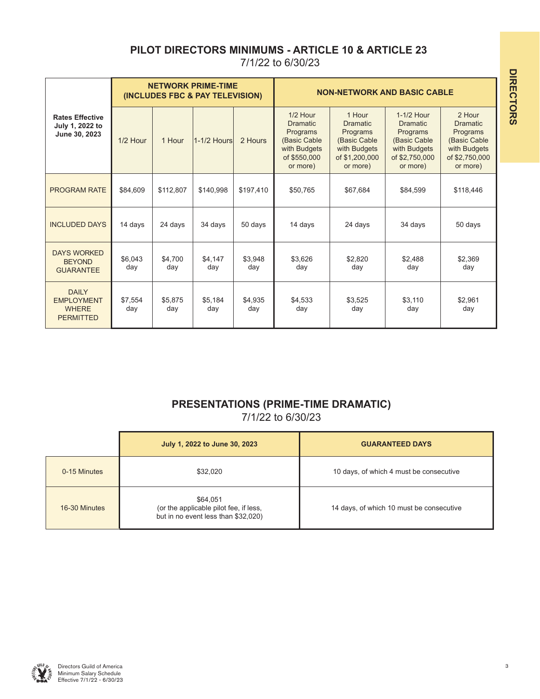## **PILOT DIRECTORS MINIMUMS - ARTICLE 10 & ARTICLE 23**

7/1/22 to 6/30/23

|                                                                       |                                                |                | <b>NETWORK PRIME-TIME</b><br>(INCLUDES FBC & PAY TELEVISION)                                          |                                                                                                     | <b>NON-NETWORK AND BASIC CABLE</b>                                                                      |                                                                                                     |                |                |
|-----------------------------------------------------------------------|------------------------------------------------|----------------|-------------------------------------------------------------------------------------------------------|-----------------------------------------------------------------------------------------------------|---------------------------------------------------------------------------------------------------------|-----------------------------------------------------------------------------------------------------|----------------|----------------|
| <b>Rates Effective</b><br>July 1, 2022 to<br>June 30, 2023            | 1/2 Hour<br>1 Hour<br>$1-1/2$ Hours<br>2 Hours |                | $1/2$ Hour<br><b>Dramatic</b><br>Programs<br>(Basic Cable<br>with Budgets<br>of \$550,000<br>or more) | 1 Hour<br><b>Dramatic</b><br>Programs<br>(Basic Cable<br>with Budgets<br>of \$1,200,000<br>or more) | 1-1/2 Hour<br><b>Dramatic</b><br>Programs<br>(Basic Cable<br>with Budgets<br>of \$2,750,000<br>or more) | 2 Hour<br><b>Dramatic</b><br>Programs<br>(Basic Cable<br>with Budgets<br>of \$2,750,000<br>or more) |                |                |
| <b>PROGRAM RATE</b>                                                   | \$84.609                                       | \$112.807      | \$140.998                                                                                             | \$197.410                                                                                           | \$50,765                                                                                                | \$67,684                                                                                            | \$84.599       | \$118,446      |
| <b>INCLUDED DAYS</b>                                                  | 14 days                                        | 24 days        | 34 days                                                                                               | 50 days                                                                                             | 14 days                                                                                                 | 24 days                                                                                             | 34 days        | 50 days        |
| <b>DAYS WORKED</b><br><b>BEYOND</b><br><b>GUARANTEE</b>               | \$6,043<br>day                                 | \$4.700<br>day | \$4,147<br>day                                                                                        | \$3,948<br>day                                                                                      | \$3,626<br>day                                                                                          | \$2,820<br>day                                                                                      | \$2,488<br>day | \$2,369<br>day |
| <b>DAILY</b><br><b>EMPLOYMENT</b><br><b>WHERE</b><br><b>PERMITTED</b> | \$7,554<br>day                                 | \$5.875<br>day | \$5,184<br>day                                                                                        | \$4,935<br>day                                                                                      | \$4,533<br>day                                                                                          | \$3,525<br>day                                                                                      | \$3.110<br>day | \$2,961<br>day |

## **PRESENTATIONS (PRIME-TIME DRAMATIC)**

|               | July 1, 2022 to June 30, 2023                                                             | <b>GUARANTEED DAYS</b>                   |
|---------------|-------------------------------------------------------------------------------------------|------------------------------------------|
| 0-15 Minutes  | \$32,020                                                                                  | 10 days, of which 4 must be consecutive  |
| 16-30 Minutes | \$64,051<br>(or the applicable pilot fee, if less,<br>but in no event less than \$32,020) | 14 days, of which 10 must be consecutive |

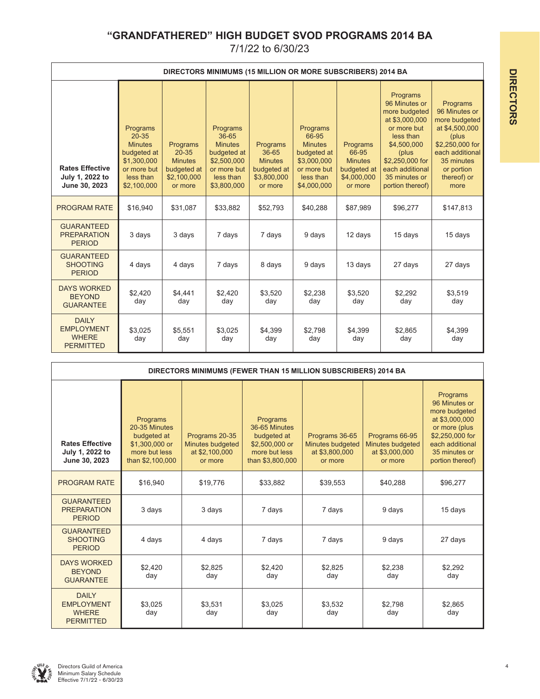## **"GRANDFATHERED" HIGH BUDGET SVOD PROGRAMS 2014 BA**

|                                                                       |                                                                                                                  |                                                                                  |                                                                                                              | DIRECTORS MINIMUMS (15 MILLION OR MORE SUBSCRIBERS) 2014 BA                  |                                                                                                              |                                                                              |                                                                                                                                                                                             |                                                                                                                                                                |
|-----------------------------------------------------------------------|------------------------------------------------------------------------------------------------------------------|----------------------------------------------------------------------------------|--------------------------------------------------------------------------------------------------------------|------------------------------------------------------------------------------|--------------------------------------------------------------------------------------------------------------|------------------------------------------------------------------------------|---------------------------------------------------------------------------------------------------------------------------------------------------------------------------------------------|----------------------------------------------------------------------------------------------------------------------------------------------------------------|
| <b>Rates Effective</b><br>July 1, 2022 to<br>June 30, 2023            | Programs<br>$20 - 35$<br><b>Minutes</b><br>budgeted at<br>\$1,300,000<br>or more but<br>less than<br>\$2,100,000 | Programs<br>$20 - 35$<br><b>Minutes</b><br>budgeted at<br>\$2,100,000<br>or more | Programs<br>36-65<br><b>Minutes</b><br>budgeted at<br>\$2,500,000<br>or more but<br>less than<br>\$3,800,000 | Programs<br>36-65<br><b>Minutes</b><br>budgeted at<br>\$3,800,000<br>or more | Programs<br>66-95<br><b>Minutes</b><br>budgeted at<br>\$3,000,000<br>or more but<br>less than<br>\$4,000,000 | Programs<br>66-95<br><b>Minutes</b><br>budgeted at<br>\$4,000,000<br>or more | Programs<br>96 Minutes or<br>more budgeted<br>at \$3,000,000<br>or more but<br>less than<br>\$4,500,000<br>(plus<br>\$2,250,000 for<br>each additional<br>35 minutes or<br>portion thereof) | Programs<br>96 Minutes or<br>more budgeted<br>at \$4,500,000<br>(plus<br>\$2,250,000 for<br>each additional<br>35 minutes<br>or portion<br>thereof) or<br>more |
| <b>PROGRAM RATE</b>                                                   | \$16,940                                                                                                         | \$31,087                                                                         | \$33,882                                                                                                     | \$52,793                                                                     | \$40,288                                                                                                     | \$87,989                                                                     | \$96,277                                                                                                                                                                                    | \$147,813                                                                                                                                                      |
| <b>GUARANTEED</b><br><b>PREPARATION</b><br><b>PERIOD</b>              | 3 days                                                                                                           | 3 days                                                                           | 7 days                                                                                                       | 7 days                                                                       | 9 days                                                                                                       | 12 days                                                                      | 15 days                                                                                                                                                                                     | 15 days                                                                                                                                                        |
| <b>GUARANTEED</b><br><b>SHOOTING</b><br><b>PERIOD</b>                 | 4 days                                                                                                           | 4 days                                                                           | 7 days                                                                                                       | 8 days                                                                       | 9 days                                                                                                       | 13 days                                                                      | 27 days                                                                                                                                                                                     | 27 days                                                                                                                                                        |
| <b>DAYS WORKED</b><br><b>BEYOND</b><br><b>GUARANTEE</b>               | \$2,420<br>day                                                                                                   | \$4.441<br>day                                                                   | \$2.420<br>day                                                                                               | \$3.520<br>day                                                               | \$2.238<br>day                                                                                               | \$3.520<br>day                                                               | \$2.292<br>day                                                                                                                                                                              | \$3,519<br>day                                                                                                                                                 |
| <b>DAILY</b><br><b>EMPLOYMENT</b><br><b>WHERE</b><br><b>PERMITTED</b> | \$3,025<br>day                                                                                                   | \$5,551<br>day                                                                   | \$3,025<br>day                                                                                               | \$4,399<br>day                                                               | \$2,798<br>day                                                                                               | \$4,399<br>day                                                               | \$2,865<br>day                                                                                                                                                                              | \$4,399<br>day                                                                                                                                                 |

|                                                                       |                                                                                                 | DIRECTORS MINIMUMS (FEWER THAN 15 MILLION SUBSCRIBERS) 2014 BA  |                                                                                                 |                                                                 |                                                                 |                                                                                                                                                          |
|-----------------------------------------------------------------------|-------------------------------------------------------------------------------------------------|-----------------------------------------------------------------|-------------------------------------------------------------------------------------------------|-----------------------------------------------------------------|-----------------------------------------------------------------|----------------------------------------------------------------------------------------------------------------------------------------------------------|
| <b>Rates Effective</b><br>July 1, 2022 to<br>June 30, 2023            | Programs<br>20-35 Minutes<br>budgeted at<br>\$1,300,000 or<br>more but less<br>than \$2,100,000 | Programs 20-35<br>Minutes budgeted<br>at \$2,100,000<br>or more | Programs<br>36-65 Minutes<br>budgeted at<br>\$2,500,000 or<br>more but less<br>than \$3,800,000 | Programs 36-65<br>Minutes budgeted<br>at \$3,800,000<br>or more | Programs 66-95<br>Minutes budgeted<br>at \$3,000,000<br>or more | Programs<br>96 Minutes or<br>more budgeted<br>at \$3,000,000<br>or more (plus<br>\$2,250,000 for<br>each additional<br>35 minutes or<br>portion thereof) |
| <b>PROGRAM RATE</b>                                                   | \$16,940                                                                                        | \$19,776                                                        | \$33,882                                                                                        | \$39,553                                                        | \$40,288                                                        | \$96,277                                                                                                                                                 |
| <b>GUARANTEED</b><br><b>PREPARATION</b><br><b>PERIOD</b>              | 3 days                                                                                          | 3 days                                                          | 7 days                                                                                          | 7 days                                                          | 9 days                                                          | 15 days                                                                                                                                                  |
| <b>GUARANTEED</b><br><b>SHOOTING</b><br><b>PERIOD</b>                 | 4 days                                                                                          | 4 days                                                          | 7 days                                                                                          | 7 days                                                          | 9 days                                                          | 27 days                                                                                                                                                  |
| <b>DAYS WORKED</b><br><b>BEYOND</b><br><b>GUARANTEE</b>               | \$2,420<br>day                                                                                  | \$2,825<br>day                                                  | \$2,420<br>day                                                                                  | \$2,825<br>day                                                  | \$2,238<br>day                                                  | \$2,292<br>day                                                                                                                                           |
| <b>DAILY</b><br><b>EMPLOYMENT</b><br><b>WHERE</b><br><b>PERMITTED</b> | \$3,025<br>day                                                                                  | \$3,531<br>day                                                  | \$3.025<br>day                                                                                  | \$3,532<br>day                                                  | \$2.798<br>day                                                  | \$2,865<br>day                                                                                                                                           |

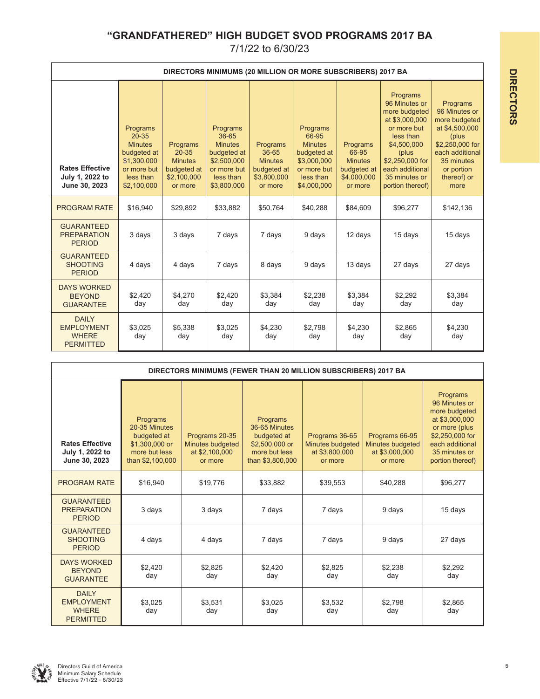## **"GRANDFATHERED" HIGH BUDGET SVOD PROGRAMS 2017 BA**

|                                                                       |                                                                                                                  |                                                                                  |                                                                                                              | DIRECTORS MINIMUMS (20 MILLION OR MORE SUBSCRIBERS) 2017 BA                  |                                                                                                              |                                                                              |                                                                                                                                                                                              |                                                                                                                                                                |
|-----------------------------------------------------------------------|------------------------------------------------------------------------------------------------------------------|----------------------------------------------------------------------------------|--------------------------------------------------------------------------------------------------------------|------------------------------------------------------------------------------|--------------------------------------------------------------------------------------------------------------|------------------------------------------------------------------------------|----------------------------------------------------------------------------------------------------------------------------------------------------------------------------------------------|----------------------------------------------------------------------------------------------------------------------------------------------------------------|
| <b>Rates Effective</b><br>July 1, 2022 to<br>June 30, 2023            | Programs<br>$20 - 35$<br><b>Minutes</b><br>budgeted at<br>\$1,300,000<br>or more but<br>less than<br>\$2,100,000 | Programs<br>$20 - 35$<br><b>Minutes</b><br>budgeted at<br>\$2,100,000<br>or more | Programs<br>36-65<br><b>Minutes</b><br>budgeted at<br>\$2,500,000<br>or more but<br>less than<br>\$3,800,000 | Programs<br>36-65<br><b>Minutes</b><br>budgeted at<br>\$3,800,000<br>or more | Programs<br>66-95<br><b>Minutes</b><br>budgeted at<br>\$3,000,000<br>or more but<br>less than<br>\$4,000,000 | Programs<br>66-95<br><b>Minutes</b><br>budgeted at<br>\$4,000,000<br>or more | Programs<br>96 Minutes or<br>more budgeted<br>at \$3,000,000<br>or more but<br>less than<br>\$4,500,000<br>(plus)<br>\$2,250,000 for<br>each additional<br>35 minutes or<br>portion thereof) | Programs<br>96 Minutes or<br>more budgeted<br>at \$4,500,000<br>(plus<br>\$2,250,000 for<br>each additional<br>35 minutes<br>or portion<br>thereof) or<br>more |
| <b>PROGRAM RATE</b>                                                   | \$16,940                                                                                                         | \$29,892                                                                         | \$33,882                                                                                                     | \$50,764                                                                     | \$40,288                                                                                                     | \$84,609                                                                     | \$96,277                                                                                                                                                                                     | \$142,136                                                                                                                                                      |
| <b>GUARANTEED</b><br><b>PREPARATION</b><br><b>PERIOD</b>              | 3 days                                                                                                           | 3 days                                                                           | 7 days                                                                                                       | 7 days                                                                       | 9 days                                                                                                       | 12 days                                                                      | 15 days                                                                                                                                                                                      | 15 days                                                                                                                                                        |
| <b>GUARANTEED</b><br><b>SHOOTING</b><br><b>PERIOD</b>                 | 4 days                                                                                                           | 4 days                                                                           | 7 days                                                                                                       | 8 days                                                                       | 9 days                                                                                                       | 13 days                                                                      | 27 days                                                                                                                                                                                      | 27 days                                                                                                                                                        |
| <b>DAYS WORKED</b><br><b>BEYOND</b><br><b>GUARANTEE</b>               | \$2.420<br>day                                                                                                   | \$4,270<br>day                                                                   | \$2,420<br>day                                                                                               | \$3,384<br>day                                                               | \$2,238<br>day                                                                                               | \$3.384<br>day                                                               | \$2,292<br>day                                                                                                                                                                               | \$3,384<br>day                                                                                                                                                 |
| <b>DAILY</b><br><b>EMPLOYMENT</b><br><b>WHERE</b><br><b>PERMITTED</b> | \$3.025<br>day                                                                                                   | \$5,338<br>day                                                                   | \$3.025<br>day                                                                                               | \$4,230<br>day                                                               | \$2.798<br>day                                                                                               | \$4,230<br>day                                                               | \$2,865<br>day                                                                                                                                                                               | \$4,230<br>day                                                                                                                                                 |

|                                                                       | DIRECTORS MINIMUMS (FEWER THAN 20 MILLION SUBSCRIBERS) 2017 BA                                  |                                                                 |                                                                                                 |                                                                 |                                                                 |                                                                                                                                                          |  |  |  |  |  |  |
|-----------------------------------------------------------------------|-------------------------------------------------------------------------------------------------|-----------------------------------------------------------------|-------------------------------------------------------------------------------------------------|-----------------------------------------------------------------|-----------------------------------------------------------------|----------------------------------------------------------------------------------------------------------------------------------------------------------|--|--|--|--|--|--|
| <b>Rates Effective</b><br>July 1, 2022 to<br>June 30, 2023            | Programs<br>20-35 Minutes<br>budgeted at<br>\$1,300,000 or<br>more but less<br>than \$2,100,000 | Programs 20-35<br>Minutes budgeted<br>at \$2,100,000<br>or more | Programs<br>36-65 Minutes<br>budgeted at<br>\$2,500,000 or<br>more but less<br>than \$3,800,000 | Programs 36-65<br>Minutes budgeted<br>at \$3,800,000<br>or more | Programs 66-95<br>Minutes budgeted<br>at \$3,000,000<br>or more | Programs<br>96 Minutes or<br>more budgeted<br>at \$3,000,000<br>or more (plus<br>\$2,250,000 for<br>each additional<br>35 minutes or<br>portion thereof) |  |  |  |  |  |  |
| <b>PROGRAM RATE</b>                                                   | \$16,940                                                                                        | \$19,776                                                        | \$33,882                                                                                        | \$39,553                                                        | \$40,288                                                        | \$96,277                                                                                                                                                 |  |  |  |  |  |  |
| <b>GUARANTEED</b><br><b>PREPARATION</b><br><b>PERIOD</b>              | 3 days                                                                                          | 3 days                                                          | 7 days                                                                                          | 7 days                                                          | 9 days                                                          | 15 days                                                                                                                                                  |  |  |  |  |  |  |
| <b>GUARANTEED</b><br><b>SHOOTING</b><br><b>PERIOD</b>                 | 4 days                                                                                          | 4 days                                                          | 7 days                                                                                          | 7 days                                                          | 9 days                                                          | 27 days                                                                                                                                                  |  |  |  |  |  |  |
| <b>DAYS WORKED</b><br><b>BEYOND</b><br><b>GUARANTEE</b>               | \$2.420<br>day                                                                                  | \$2.825<br>day                                                  | \$2.420<br>day                                                                                  | \$2.825<br>day                                                  | \$2.238<br>day                                                  | \$2.292<br>day                                                                                                                                           |  |  |  |  |  |  |
| <b>DAILY</b><br><b>EMPLOYMENT</b><br><b>WHERE</b><br><b>PERMITTED</b> | \$3,025<br>day                                                                                  | \$3,531<br>day                                                  | \$3,025<br>day                                                                                  | \$3,532<br>day                                                  | \$2,798<br>day                                                  | \$2,865<br>day                                                                                                                                           |  |  |  |  |  |  |

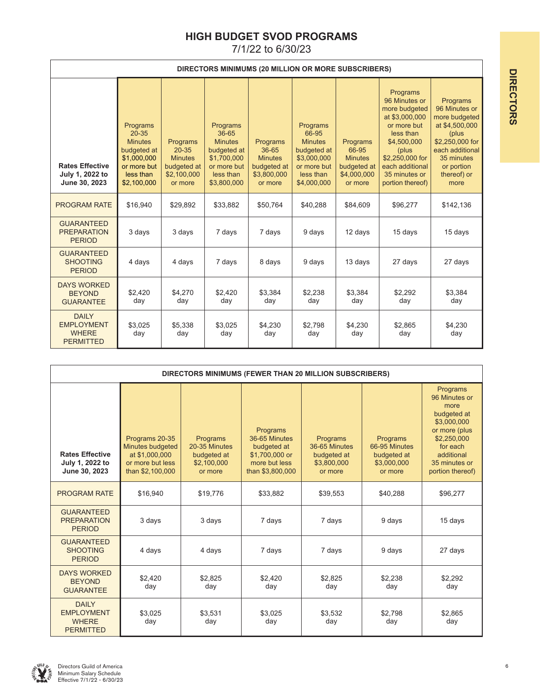## **HIGH BUDGET SVOD PROGRAMS**

|                                                                       | DIRECTORS MINIMUMS (20 MILLION OR MORE SUBSCRIBERS)                                                              |                                                                                  |                                                                                                              |                                                                              |                                                                                                              |                                                                              |                                                                                                                                                                                             |                                                                                                                                                                |  |  |  |
|-----------------------------------------------------------------------|------------------------------------------------------------------------------------------------------------------|----------------------------------------------------------------------------------|--------------------------------------------------------------------------------------------------------------|------------------------------------------------------------------------------|--------------------------------------------------------------------------------------------------------------|------------------------------------------------------------------------------|---------------------------------------------------------------------------------------------------------------------------------------------------------------------------------------------|----------------------------------------------------------------------------------------------------------------------------------------------------------------|--|--|--|
| <b>Rates Effective</b><br>July 1, 2022 to<br>June 30, 2023            | Programs<br>$20 - 35$<br><b>Minutes</b><br>budgeted at<br>\$1,000,000<br>or more but<br>less than<br>\$2,100,000 | Programs<br>$20 - 35$<br><b>Minutes</b><br>budgeted at<br>\$2,100,000<br>or more | Programs<br>36-65<br><b>Minutes</b><br>budgeted at<br>\$1,700,000<br>or more but<br>less than<br>\$3,800,000 | Programs<br>36-65<br><b>Minutes</b><br>budgeted at<br>\$3,800,000<br>or more | Programs<br>66-95<br><b>Minutes</b><br>budgeted at<br>\$3,000,000<br>or more but<br>less than<br>\$4,000,000 | Programs<br>66-95<br><b>Minutes</b><br>budgeted at<br>\$4,000,000<br>or more | Programs<br>96 Minutes or<br>more budgeted<br>at \$3,000,000<br>or more but<br>less than<br>\$4,500,000<br>(plus<br>\$2,250,000 for<br>each additional<br>35 minutes or<br>portion thereof) | Programs<br>96 Minutes or<br>more budgeted<br>at \$4,500,000<br>(plus<br>\$2,250,000 for<br>each additional<br>35 minutes<br>or portion<br>thereof) or<br>more |  |  |  |
| <b>PROGRAM RATE</b>                                                   | \$16.940                                                                                                         | \$29,892                                                                         | \$33,882                                                                                                     | \$50.764                                                                     | \$40,288                                                                                                     | \$84.609                                                                     | \$96,277                                                                                                                                                                                    | \$142,136                                                                                                                                                      |  |  |  |
| <b>GUARANTEED</b><br><b>PREPARATION</b><br><b>PERIOD</b>              | 3 days                                                                                                           | 3 days                                                                           | 7 days                                                                                                       | 7 days                                                                       | 9 days                                                                                                       | 12 days                                                                      | 15 days                                                                                                                                                                                     | 15 days                                                                                                                                                        |  |  |  |
| <b>GUARANTEED</b><br><b>SHOOTING</b><br><b>PERIOD</b>                 | 4 days                                                                                                           | 4 days                                                                           | 7 days                                                                                                       | 8 days                                                                       | 9 days                                                                                                       | 13 days                                                                      | 27 days                                                                                                                                                                                     | 27 days                                                                                                                                                        |  |  |  |
| <b>DAYS WORKED</b><br><b>BEYOND</b><br><b>GUARANTEE</b>               | \$2.420<br>day                                                                                                   | \$4.270<br>day                                                                   | \$2,420<br>day                                                                                               | \$3,384<br>day                                                               | \$2,238<br>day                                                                                               | \$3.384<br>day                                                               | \$2,292<br>day                                                                                                                                                                              | \$3,384<br>day                                                                                                                                                 |  |  |  |
| <b>DAILY</b><br><b>EMPLOYMENT</b><br><b>WHERE</b><br><b>PERMITTED</b> | \$3,025<br>day                                                                                                   | \$5,338<br>day                                                                   | \$3,025<br>day                                                                                               | \$4,230<br>day                                                               | \$2,798<br>day                                                                                               | \$4,230<br>day                                                               | \$2,865<br>day                                                                                                                                                                              | \$4,230<br>day                                                                                                                                                 |  |  |  |

|                                                                       |                                                                                              |                                                                    | DIRECTORS MINIMUMS (FEWER THAN 20 MILLION SUBSCRIBERS)                                          |                                                                    |                                                                    |                                                                                                                                                                |
|-----------------------------------------------------------------------|----------------------------------------------------------------------------------------------|--------------------------------------------------------------------|-------------------------------------------------------------------------------------------------|--------------------------------------------------------------------|--------------------------------------------------------------------|----------------------------------------------------------------------------------------------------------------------------------------------------------------|
| <b>Rates Effective</b><br>July 1, 2022 to<br>June 30, 2023            | Programs 20-35<br>Minutes budgeted<br>at \$1,000,000<br>or more but less<br>than \$2,100,000 | Programs<br>20-35 Minutes<br>budgeted at<br>\$2,100,000<br>or more | Programs<br>36-65 Minutes<br>budgeted at<br>\$1,700,000 or<br>more but less<br>than \$3,800,000 | Programs<br>36-65 Minutes<br>budgeted at<br>\$3,800,000<br>or more | Programs<br>66-95 Minutes<br>budgeted at<br>\$3,000,000<br>or more | Programs<br>96 Minutes or<br>more<br>budgeted at<br>\$3,000,000<br>or more (plus<br>\$2,250,000<br>for each<br>additional<br>35 minutes or<br>portion thereof) |
| <b>PROGRAM RATE</b>                                                   | \$16,940                                                                                     | \$19,776                                                           | \$33,882                                                                                        | \$39,553                                                           | \$40,288                                                           | \$96,277                                                                                                                                                       |
| <b>GUARANTEED</b><br><b>PREPARATION</b><br><b>PERIOD</b>              | 3 days                                                                                       | 3 days                                                             | 7 days                                                                                          | 7 days                                                             | 9 days                                                             | 15 days                                                                                                                                                        |
| <b>GUARANTEED</b><br><b>SHOOTING</b><br><b>PERIOD</b>                 | 4 days                                                                                       | 4 days                                                             | 7 days                                                                                          | 7 days                                                             | 9 days                                                             | 27 days                                                                                                                                                        |
| <b>DAYS WORKED</b><br><b>BEYOND</b><br><b>GUARANTEE</b>               | \$2,420<br>day                                                                               | \$2.825<br>day                                                     | \$2.420<br>day                                                                                  | \$2.825<br>day                                                     | \$2.238<br>day                                                     | \$2,292<br>day                                                                                                                                                 |
| <b>DAILY</b><br><b>EMPLOYMENT</b><br><b>WHERE</b><br><b>PERMITTED</b> | \$3,025<br>day                                                                               | \$3,531<br>day                                                     | \$3,025<br>day                                                                                  | \$3,532<br>day                                                     | \$2,798<br>day                                                     | \$2,865<br>day                                                                                                                                                 |

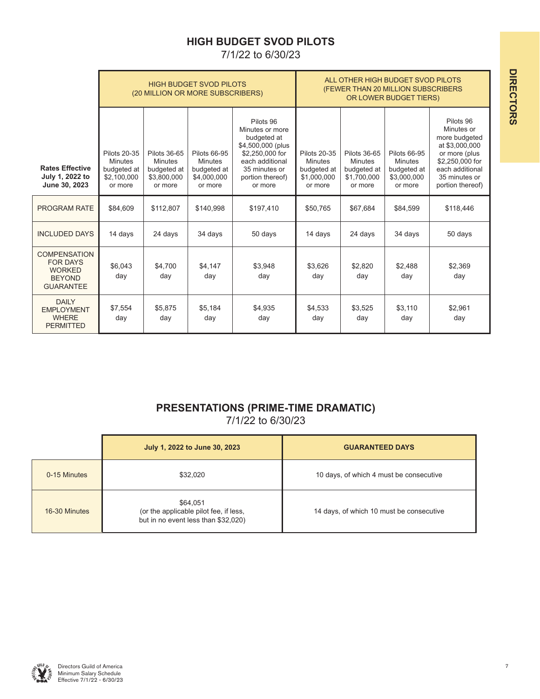## **HIGH BUDGET SVOD PILOTS**

7/1/22 to 6/30/23

|                                                                                              |                                                                                | (20 MILLION OR MORE SUBSCRIBERS)                                        | <b>HIGH BUDGET SVOD PILOTS</b>                                          |                                                                                                                                                        | ALL OTHER HIGH BUDGET SVOD PILOTS<br>(FEWER THAN 20 MILLION SUBSCRIBERS<br>OR LOWER BUDGET TIERS) |                                                                         |                                                                         |                                                                                                                                                        |
|----------------------------------------------------------------------------------------------|--------------------------------------------------------------------------------|-------------------------------------------------------------------------|-------------------------------------------------------------------------|--------------------------------------------------------------------------------------------------------------------------------------------------------|---------------------------------------------------------------------------------------------------|-------------------------------------------------------------------------|-------------------------------------------------------------------------|--------------------------------------------------------------------------------------------------------------------------------------------------------|
| <b>Rates Effective</b><br>July 1, 2022 to<br>June 30, 2023                                   | <b>Pilots 20-35</b><br><b>Minutes</b><br>budgeted at<br>\$2,100,000<br>or more | Pilots 36-65<br><b>Minutes</b><br>budgeted at<br>\$3,800,000<br>or more | Pilots 66-95<br><b>Minutes</b><br>budgeted at<br>\$4,000,000<br>or more | Pilots 96<br>Minutes or more<br>budgeted at<br>\$4,500,000 (plus<br>\$2,250,000 for<br>each additional<br>35 minutes or<br>portion thereof)<br>or more | <b>Pilots 20-35</b><br><b>Minutes</b><br>budgeted at<br>\$1,000,000<br>or more                    | Pilots 36-65<br><b>Minutes</b><br>budgeted at<br>\$1,700,000<br>or more | Pilots 66-95<br><b>Minutes</b><br>budgeted at<br>\$3,000,000<br>or more | Pilots 96<br>Minutes or<br>more budgeted<br>at \$3,000,000<br>or more (plus<br>\$2,250,000 for<br>each additional<br>35 minutes or<br>portion thereof) |
| PROGRAM RATE                                                                                 | \$84,609                                                                       | \$112,807                                                               | \$140,998                                                               | \$197,410                                                                                                                                              | \$50,765                                                                                          | \$67,684                                                                | \$84,599                                                                | \$118,446                                                                                                                                              |
| <b>INCLUDED DAYS</b>                                                                         | 14 days                                                                        | 24 days                                                                 | 34 days                                                                 | 50 days                                                                                                                                                | 14 days                                                                                           | 24 days                                                                 | 34 days                                                                 | 50 days                                                                                                                                                |
| <b>COMPENSATION</b><br><b>FOR DAYS</b><br><b>WORKED</b><br><b>BEYOND</b><br><b>GUARANTEE</b> | \$6.043<br>day                                                                 | \$4,700<br>day                                                          | \$4,147<br>day                                                          | \$3,948<br>day                                                                                                                                         | \$3.626<br>day                                                                                    | \$2,820<br>day                                                          | \$2.488<br>day                                                          | \$2,369<br>day                                                                                                                                         |
| <b>DAILY</b><br><b>EMPLOYMENT</b><br><b>WHERE</b><br><b>PERMITTED</b>                        | \$7,554<br>day                                                                 | \$5,875<br>day                                                          | \$5.184<br>day                                                          | \$4,935<br>day                                                                                                                                         | \$4,533<br>day                                                                                    | \$3,525<br>day                                                          | \$3.110<br>day                                                          | \$2,961<br>day                                                                                                                                         |

## **PRESENTATIONS (PRIME-TIME DRAMATIC)**  7/1/22 to 6/30/23

|               | July 1, 2022 to June 30, 2023                                                             | <b>GUARANTEED DAYS</b>                   |
|---------------|-------------------------------------------------------------------------------------------|------------------------------------------|
| 0-15 Minutes  | \$32.020                                                                                  | 10 days, of which 4 must be consecutive  |
| 16-30 Minutes | \$64,051<br>(or the applicable pilot fee, if less,<br>but in no event less than \$32,020) | 14 days, of which 10 must be consecutive |

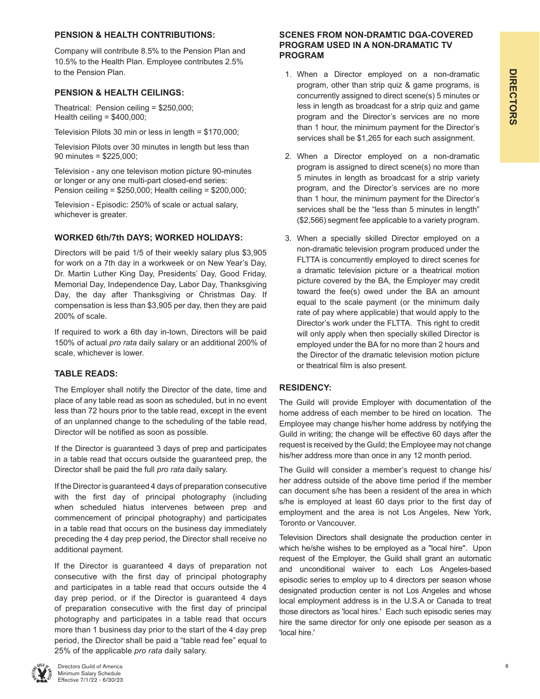## **PENSION & HEALTH CONTRIBUTIONS:**

Company will contribute 8.5% to the Pension Plan and 10.5% to the Health Plan. Employee contributes 2.5% to the Pension Plan.

### **PENSION & HEALTH CEILINGS:**

Theatrical: Pension ceiling = \$250,000; Health ceiling = \$400,000;

Television Pilots 30 min or less in length = \$170,000;

Television Pilots over 30 minutes in length but less than 90 minutes = \$225,000;

Television - any one televison motion picture 90-minutes or longer or any one multi-part closed-end series: Pension ceiling = \$250,000; Health ceiling = \$200,000;

Television - Episodic: 250% of scale or actual salary, whichever is greater.

## **WORKED 6th/7th DAYS; WORKED HOLIDAYS:**

Directors will be paid 1/5 of their weekly salary plus \$3,905 for work on a 7th day in a workweek or on New Year's Day, Dr. Martin Luther King Day, Presidents' Day, Good Friday, Memorial Day, Independence Day, Labor Day, Thanksgiving Day, the day after Thanksgiving or Christmas Day. If compensation is less than \$3,905 per day, then they are paid 200% of scale.

If required to work a 6th day in-town, Directors will be paid 150% of actual *pro rata* daily salary or an additional 200% of scale, whichever is lower.

## **TABLE READS:**

The Employer shall notify the Director of the date, time and place of any table read as soon as scheduled, but in no event less than 72 hours prior to the table read, except in the event of an unplanned change to the scheduling of the table read, Director will be notified as soon as possible.

If the Director is guaranteed 3 days of prep and participates in a table read that occurs outside the guaranteed prep, the Director shall be paid the full *pro rata* daily salary.

If the Director is guaranteed 4 days of preparation consecutive with the first day of principal photography (including when scheduled hiatus intervenes between prep and commencement of principal photography) and participates in a table read that occurs on the business day immediately preceding the 4 day prep period, the Director shall receive no additional payment.

If the Director is guaranteed 4 days of preparation not consecutive with the first day of principal photography and participates in a table read that occurs outside the 4 day prep period, or if the Director is guaranteed 4 days of preparation consecutive with the first day of principal photography and participates in a table read that occurs more than 1 business day prior to the start of the 4 day prep period, the Director shall be paid a "table read fee" equal to 25% of the applicable *pro rata* daily salary.

### **SCENES FROM NON-DRAMTIC DGA-COVERED PROGRAM USED IN A NON-DRAMATIC TV PROGRAM**

- 1. When a Director employed on a non-dramatic program, other than strip quiz & game programs, is concurrently assigned to direct scene(s) 5 minutes or less in length as broadcast for a strip quiz and game program and the Director's services are no more than 1 hour, the minimum payment for the Director's services shall be \$1,265 for each such assignment.
- 2. When a Director employed on a non-dramatic program is assigned to direct scene(s) no more than 5 minutes in length as broadcast for a strip variety program, and the Director's services are no more than 1 hour, the minimum payment for the Director's services shall be the "less than 5 minutes in length" (\$2,566) segment fee applicable to a variety program.
- 3. When a specially skilled Director employed on a non-dramatic television program produced under the FLTTA is concurrently employed to direct scenes for a dramatic television picture or a theatrical motion picture covered by the BA, the Employer may credit toward the fee(s) owed under the BA an amount equal to the scale payment (or the minimum daily rate of pay where applicable) that would apply to the Director's work under the FLTTA. This right to credit will only apply when then specially skilled Director is employed under the BA for no more than 2 hours and the Director of the dramatic television motion picture or theatrical film is also present.

### **RESIDENCY:**

The Guild will provide Employer with documentation of the home address of each member to be hired on location. The Employee may change his/her home address by notifying the Guild in writing; the change will be effective 60 days after the request is received by the Guild; the Employee may not change his/her address more than once in any 12 month period.

The Guild will consider a member's request to change his/ her address outside of the above time period if the member can document s/he has been a resident of the area in which s/he is employed at least 60 days prior to the first day of employment and the area is not Los Angeles, New York, Toronto or Vancouver.

Television Directors shall designate the production center in which he/she wishes to be employed as a "local hire". Upon request of the Employer, the Guild shall grant an automatic and unconditional waiver to each Los Angeles-based episodic series to employ up to 4 directors per season whose designated production center is not Los Angeles and whose local employment address is in the U.S.A or Canada to treat those directors as 'local hires.' Each such episodic series may hire the same director for only one episode per season as a 'local hire.'

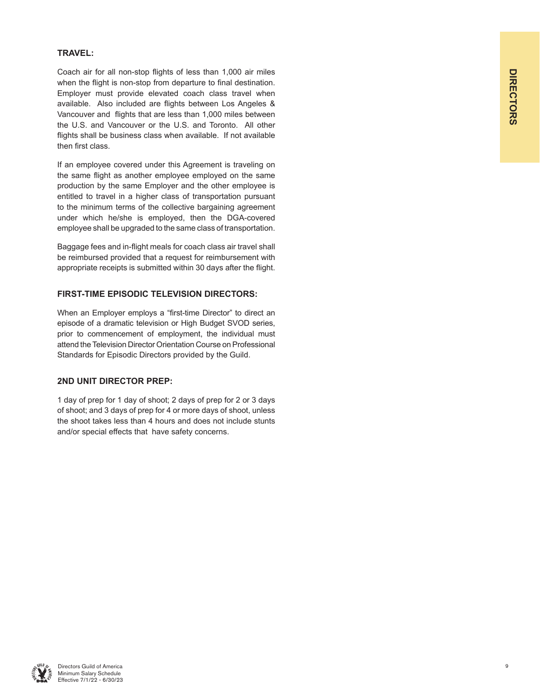# **DIRECTORS DIRECTORS**

### **TRAVEL:**

Coach air for all non-stop flights of less than 1,000 air miles when the flight is non-stop from departure to final destination. Employer must provide elevated coach class travel when available. Also included are flights between Los Angeles & Vancouver and flights that are less than 1,000 miles between the U.S. and Vancouver or the U.S. and Toronto. All other flights shall be business class when available. If not available then first class.

If an employee covered under this Agreement is traveling on the same flight as another employee employed on the same production by the same Employer and the other employee is entitled to travel in a higher class of transportation pursuant to the minimum terms of the collective bargaining agreement under which he/she is employed, then the DGA-covered employee shall be upgraded to the same class of transportation.

Baggage fees and in-flight meals for coach class air travel shall be reimbursed provided that a request for reimbursement with appropriate receipts is submitted within 30 days after the flight.

### **FIRST-TIME EPISODIC TELEVISION DIRECTORS:**

When an Employer employs a "first-time Director" to direct an episode of a dramatic television or High Budget SVOD series, prior to commencement of employment, the individual must attend the Television Director Orientation Course on Professional Standards for Episodic Directors provided by the Guild.

### **2ND UNIT DIRECTOR PREP:**

1 day of prep for 1 day of shoot; 2 days of prep for 2 or 3 days of shoot; and 3 days of prep for 4 or more days of shoot, unless the shoot takes less than 4 hours and does not include stunts and/or special effects that have safety concerns.

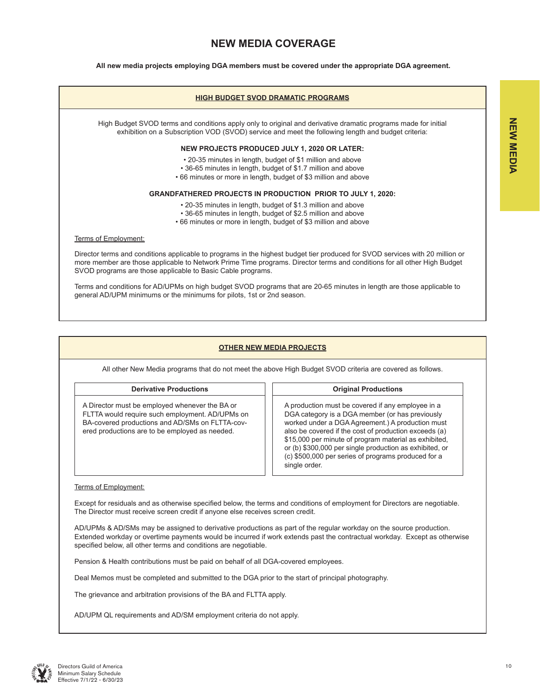## **NEW MEDIA COVERAGE**

**All new media projects employing DGA members must be covered under the appropriate DGA agreement.**

#### **HIGH BUDGET SVOD DRAMATIC PROGRAMS**

High Budget SVOD terms and conditions apply only to original and derivative dramatic programs made for initial exhibition on a Subscription VOD (SVOD) service and meet the following length and budget criteria:

#### **NEW PROJECTS PRODUCED JULY 1, 2020 OR LATER:**

- 20-35 minutes in length, budget of \$1 million and above
- 36-65 minutes in length, budget of \$1.7 million and above
- 66 minutes or more in length, budget of \$3 million and above

#### **GRANDFATHERED PROJECTS IN PRODUCTION PRIOR TO JULY 1, 2020:**

- 20-35 minutes in length, budget of \$1.3 million and above
- 36-65 minutes in length, budget of \$2.5 million and above
- 66 minutes or more in length, budget of \$3 million and above

#### Terms of Employment:

Director terms and conditions applicable to programs in the highest budget tier produced for SVOD services with 20 million or more member are those applicable to Network Prime Time programs. Director terms and conditions for all other High Budget SVOD programs are those applicable to Basic Cable programs.

Terms and conditions for AD/UPMs on high budget SVOD programs that are 20-65 minutes in length are those applicable to general AD/UPM minimums or the minimums for pilots, 1st or 2nd season.

#### **OTHER NEW MEDIA PROJECTS**

All other New Media programs that do not meet the above High Budget SVOD criteria are covered as follows.

#### **Derivative Productions COLOGITY 1 Original Productions**

A Director must be employed whenever the BA or FLTTA would require such employment. AD/UPMs on BA-covered productions and AD/SMs on FLTTA-covered productions are to be employed as needed.

A production must be covered if any employee in a DGA category is a DGA member (or has previously worked under a DGA Agreement.) A production must also be covered if the cost of production exceeds (a) \$15,000 per minute of program material as exhibited, or (b) \$300,000 per single production as exhibited, or (c) \$500,000 per series of programs produced for a single order.

#### Terms of Employment:

Except for residuals and as otherwise specified below, the terms and conditions of employment for Directors are negotiable. The Director must receive screen credit if anyone else receives screen credit.

AD/UPMs & AD/SMs may be assigned to derivative productions as part of the regular workday on the source production. Extended workday or overtime payments would be incurred if work extends past the contractual workday. Except as otherwise specified below, all other terms and conditions are negotiable.

Pension & Health contributions must be paid on behalf of all DGA-covered employees.

Deal Memos must be completed and submitted to the DGA prior to the start of principal photography.

The grievance and arbitration provisions of the BA and FLTTA apply.

AD/UPM QL requirements and AD/SM employment criteria do not apply.

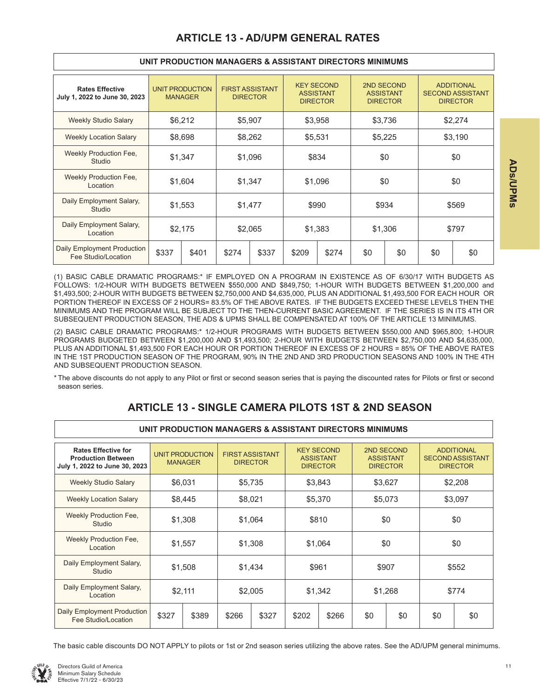| <b>Rates Effective</b><br>July 1, 2022 to June 30, 2023 |         | <b>UNIT PRODUCTION</b><br><b>MANAGER</b> | <b>FIRST ASSISTANT</b><br><b>DIRECTOR</b> |         |         | <b>KEY SECOND</b><br><b>ASSISTANT</b><br><b>DIRECTOR</b> | <b>ASSISTANT</b> | 2ND SECOND<br><b>DIRECTOR</b> | <b>ADDITIONAL</b><br><b>SECOND ASSISTANT</b><br><b>DIRECTOR</b> |     |  |
|---------------------------------------------------------|---------|------------------------------------------|-------------------------------------------|---------|---------|----------------------------------------------------------|------------------|-------------------------------|-----------------------------------------------------------------|-----|--|
| <b>Weekly Studio Salary</b>                             |         | \$6,212                                  |                                           | \$5,907 | \$3,958 |                                                          | \$3,736          |                               | \$2,274                                                         |     |  |
| <b>Weekly Location Salary</b>                           |         | \$8,698                                  |                                           | \$8,262 | \$5,531 |                                                          | \$5,225          |                               | \$3,190                                                         |     |  |
| Weekly Production Fee,<br>Studio                        | \$1,347 |                                          | \$1,096                                   |         | \$834   |                                                          | \$0              |                               | \$0                                                             |     |  |
| Weekly Production Fee,<br>Location                      |         | \$1,604                                  |                                           | \$1,347 |         | \$1.096                                                  |                  | \$0                           |                                                                 | \$0 |  |
| Daily Employment Salary,<br>Studio                      |         | \$1,553                                  |                                           | \$1,477 | \$990   |                                                          | \$934            |                               | \$569                                                           |     |  |
| Daily Employment Salary,<br>Location                    |         | \$2,175                                  | \$2,065                                   |         | \$1,383 |                                                          | \$1,306          |                               | \$797                                                           |     |  |
| Daily Employment Production<br>Fee Studio/Location      | \$337   | \$401                                    | \$274                                     | \$337   | \$209   | \$274                                                    | \$0              | \$0                           | \$0                                                             | \$0 |  |

#### **UNIT PRODUCTION MANAGERS & ASSISTANT DIRECTORS MINIMUMS**

(1) BASIC CABLE DRAMATIC PROGRAMS:\* IF EMPLOYED ON A PROGRAM IN EXISTENCE AS OF 6/30/17 WITH BUDGETS AS FOLLOWS: 1/2-HOUR WITH BUDGETS BETWEEN \$550,000 AND \$849,750; 1-HOUR WITH BUDGETS BETWEEN \$1,200,000 and \$1,493,500; 2-HOUR WITH BUDGETS BETWEEN \$2,750,000 AND \$4,635,000, PLUS AN ADDITIONAL \$1,493,500 FOR EACH HOUR OR PORTION THEREOF IN EXCESS OF 2 HOURS= 83.5% OF THE ABOVE RATES. IF THE BUDGETS EXCEED THESE LEVELS THEN THE MINIMUMS AND THE PROGRAM WILL BE SUBJECT TO THE THEN-CURRENT BASIC AGREEMENT. IF THE SERIES IS IN ITS 4TH OR SUBSEQUENT PRODUCTION SEASON, THE ADS & UPMS SHALL BE COMPENSATED AT 100% OF THE ARTICLE 13 MINIMUMS.

(2) BASIC CABLE DRAMATIC PROGRAMS:\* 1/2-HOUR PROGRAMS WITH BUDGETS BETWEEN \$550,000 AND \$965,800; 1-HOUR PROGRAMS BUDGETED BETWEEN \$1,200,000 AND \$1,493,500; 2-HOUR WITH BUDGETS BETWEEN \$2,750,000 AND \$4,635,000, PLUS AN ADDITIONAL \$1,493,500 FOR EACH HOUR OR PORTION THEREOF IN EXCESS OF 2 HOURS = 85% OF THE ABOVE RATES IN THE 1ST PRODUCTION SEASON OF THE PROGRAM, 90% IN THE 2ND AND 3RD PRODUCTION SEASONS AND 100% IN THE 4TH AND SUBSEQUENT PRODUCTION SEASON.

\* The above discounts do not apply to any Pilot or first or second season series that is paying the discounted rates for Pilots or first or second season series.

**UNIT PRODUCTION MANAGERS & ASSISTANT DIRECTORS MINIMUMS**

## **ARTICLE 13 - SINGLE CAMERA PILOTS 1ST & 2ND SEASON**

|                                                                                          | <u>UNII FINUDUVIIUN MANAULINU OLAUULANI DINLUTUNU MIINIMUMU</u> |                                          |         |                                           |         |                                                          |         |                                                   |         |                                                                 |  |  |
|------------------------------------------------------------------------------------------|-----------------------------------------------------------------|------------------------------------------|---------|-------------------------------------------|---------|----------------------------------------------------------|---------|---------------------------------------------------|---------|-----------------------------------------------------------------|--|--|
| <b>Rates Effective for</b><br><b>Production Between</b><br>July 1, 2022 to June 30, 2023 |                                                                 | <b>UNIT PRODUCTION</b><br><b>MANAGER</b> |         | <b>FIRST ASSISTANT</b><br><b>DIRECTOR</b> |         | <b>KEY SECOND</b><br><b>ASSISTANT</b><br><b>DIRECTOR</b> |         | 2ND SECOND<br><b>ASSISTANT</b><br><b>DIRECTOR</b> |         | <b>ADDITIONAL</b><br><b>SECOND ASSISTANT</b><br><b>DIRECTOR</b> |  |  |
| <b>Weekly Studio Salary</b>                                                              |                                                                 | \$6,031                                  |         | \$5,735                                   | \$3,843 |                                                          | \$3,627 |                                                   | \$2,208 |                                                                 |  |  |
| <b>Weekly Location Salary</b>                                                            |                                                                 | \$8,445                                  | \$8,021 |                                           | \$5,370 |                                                          | \$5,073 |                                                   | \$3,097 |                                                                 |  |  |
| Weekly Production Fee,<br>Studio                                                         |                                                                 | \$1,308                                  |         | \$1,064                                   |         | \$810                                                    |         | \$0                                               |         | \$0                                                             |  |  |
| Weekly Production Fee,<br>Location                                                       |                                                                 | \$1,557                                  |         | \$1,308                                   |         | \$1,064                                                  |         | \$0                                               |         | \$0                                                             |  |  |
| Daily Employment Salary,<br>Studio                                                       |                                                                 | \$1,508                                  | \$1,434 |                                           | \$961   |                                                          | \$907   |                                                   | \$552   |                                                                 |  |  |
| Daily Employment Salary,<br>Location                                                     |                                                                 | \$2,111                                  |         | \$2,005                                   |         | \$1,342                                                  |         | \$1,268                                           |         | \$774                                                           |  |  |
| Daily Employment Production<br>Fee Studio/Location                                       | \$327                                                           | \$389                                    | \$266   | \$327                                     | \$202   | \$266                                                    | \$0     | \$0                                               | \$0     | \$0                                                             |  |  |

#### The basic cable discounts DO NOT APPLY to pilots or 1st or 2nd season series utilizing the above rates. See the AD/UPM general minimums.

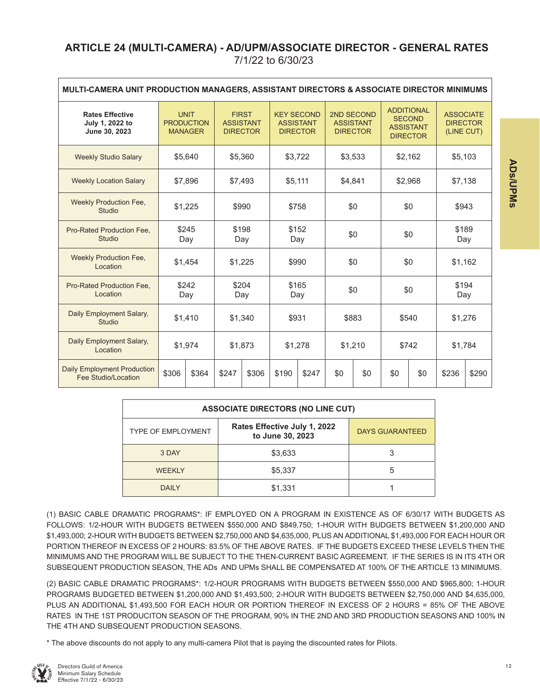## **ARTICLE 24 (MULTI-CAMERA) - AD/UPM/ASSOCIATE DIRECTOR - GENERAL RATES** 7/1/22 to 6/30/23

| MULTI-CAMERA UNIT PRODUCTION MANAGERS, ASSISTANT DIRECTORS & ASSOCIATE DIRECTOR MINIMUMS |              |                                                    |                                                     |         |                    |                                                          |         |                                                   |         |                                                                           |              |                                                   |  |
|------------------------------------------------------------------------------------------|--------------|----------------------------------------------------|-----------------------------------------------------|---------|--------------------|----------------------------------------------------------|---------|---------------------------------------------------|---------|---------------------------------------------------------------------------|--------------|---------------------------------------------------|--|
| <b>Rates Effective</b><br>July 1, 2022 to<br>June 30, 2023                               |              | <b>UNIT</b><br><b>PRODUCTION</b><br><b>MANAGER</b> | <b>FIRST</b><br><b>ASSISTANT</b><br><b>DIRECTOR</b> |         |                    | <b>KEY SECOND</b><br><b>ASSISTANT</b><br><b>DIRECTOR</b> |         | 2ND SECOND<br><b>ASSISTANT</b><br><b>DIRECTOR</b> |         | <b>ADDITIONAL</b><br><b>SECOND</b><br><b>ASSISTANT</b><br><b>DIRECTOR</b> |              | <b>ASSOCIATE</b><br><b>DIRECTOR</b><br>(LINE CUT) |  |
| <b>Weekly Studio Salary</b>                                                              | \$5.640      |                                                    | \$5,360                                             |         | \$3,722            |                                                          | \$3,533 |                                                   | \$2,162 |                                                                           | \$5,103      |                                                   |  |
| <b>Weekly Location Salary</b>                                                            | \$7,896      |                                                    | \$7,493                                             |         | \$5,111<br>\$4,841 |                                                          |         | \$2,968                                           |         | \$7,138                                                                   |              |                                                   |  |
| <b>Weekly Production Fee,</b><br>Studio                                                  | \$1,225      |                                                    | \$990                                               |         | \$0<br>\$758       |                                                          |         | \$0                                               |         | \$943                                                                     |              |                                                   |  |
| Pro-Rated Production Fee.<br><b>Studio</b>                                               | \$245<br>Day |                                                    | \$198<br>Day                                        |         | \$152<br>Day       |                                                          |         | \$0                                               |         | \$0                                                                       |              | \$189<br>Day                                      |  |
| <b>Weekly Production Fee,</b><br>Location                                                |              | \$1,454                                            | \$1,225                                             |         | \$990              |                                                          | \$0     |                                                   | \$0     |                                                                           | \$1,162      |                                                   |  |
| Pro-Rated Production Fee.<br>Location                                                    |              | \$242<br>Day                                       | \$204<br>Day                                        |         | \$165<br>Day       |                                                          | \$0     |                                                   | \$0     |                                                                           | \$194<br>Day |                                                   |  |
| Daily Employment Salary,<br>Studio                                                       |              | \$1,410                                            |                                                     | \$1,340 | \$931              |                                                          |         | \$883                                             |         | \$540                                                                     | \$1,276      |                                                   |  |
| Daily Employment Salary,<br>Location                                                     |              | \$1,974                                            |                                                     | \$1,873 | \$1,278            |                                                          | \$1,210 |                                                   | \$742   |                                                                           | \$1,784      |                                                   |  |
| <b>Daily Employment Production</b><br>Fee Studio/Location                                | \$306        | \$364                                              | \$247                                               | \$306   | \$190              | \$247                                                    | \$0     | \$0                                               | \$0     | \$0                                                                       | \$236        | \$290                                             |  |

| <b>ASSOCIATE DIRECTORS (NO LINE CUT)</b> |                                                  |                        |  |  |  |  |  |  |
|------------------------------------------|--------------------------------------------------|------------------------|--|--|--|--|--|--|
| <b>TYPE OF EMPLOYMENT</b>                | Rates Effective July 1, 2022<br>to June 30, 2023 | <b>DAYS GUARANTEED</b> |  |  |  |  |  |  |
| 3 DAY                                    | \$3,633                                          |                        |  |  |  |  |  |  |
| <b>WEEKLY</b>                            | \$5,337                                          | 5                      |  |  |  |  |  |  |
| <b>DAILY</b>                             | \$1,331                                          |                        |  |  |  |  |  |  |

(1) BASIC CABLE DRAMATIC PROGRAMS\*: IF EMPLOYED ON A PROGRAM IN EXISTENCE AS OF 6/30/17 WITH BUDGETS AS FOLLOWS: 1/2-HOUR WITH BUDGETS BETWEEN \$550,000 AND \$849,750; 1-HOUR WITH BUDGETS BETWEEN \$1,200,000 AND \$1,493,000; 2-HOUR WITH BUDGETS BETWEEN \$2,750,000 AND \$4,635,000, PLUS AN ADDITIONAL \$1,493,000 FOR EACH HOUR OR PORTION THEREOF IN EXCESS OF 2 HOURS: 83.5% OF THE ABOVE RATES. IF THE BUDGETS EXCEED THESE LEVELS THEN THE MINIMUMS AND THE PROGRAM WILL BE SUBJECT TO THE THEN-CURRENT BASIC AGREEMENT. IF THE SERIES IS IN ITS 4TH OR SUBSEQUENT PRODUCTION SEASON, THE ADs AND UPMs SHALL BE COMPENSATED AT 100% OF THE ARTICLE 13 MINIMUMS.

(2) BASIC CABLE DRAMATIC PROGRAMS\*: 1/2-HOUR PROGRAMS WITH BUDGETS BETWEEN \$550,000 AND \$965,800; 1-HOUR PROGRAMS BUDGETED BETWEEN \$1,200,000 AND \$1,493,500; 2-HOUR WITH BUDGETS BETWEEN \$2,750,000 AND \$4,635,000, PLUS AN ADDITIONAL \$1,493,500 FOR EACH HOUR OR PORTION THEREOF IN EXCESS OF 2 HOURS = 85% OF THE ABOVE RATES IN THE 1ST PRODUCITON SEASON OF THE PROGRAM, 90% IN THE 2ND AND 3RD PRODUCTION SEASONS AND 100% IN THE 4TH AND SUBSEQUENT PRODUCTION SEASONS.

\* The above discounts do not apply to any multi-camera Pilot that is paying the discounted rates for Pilots.



**ADs/UPMsADs/UPMs**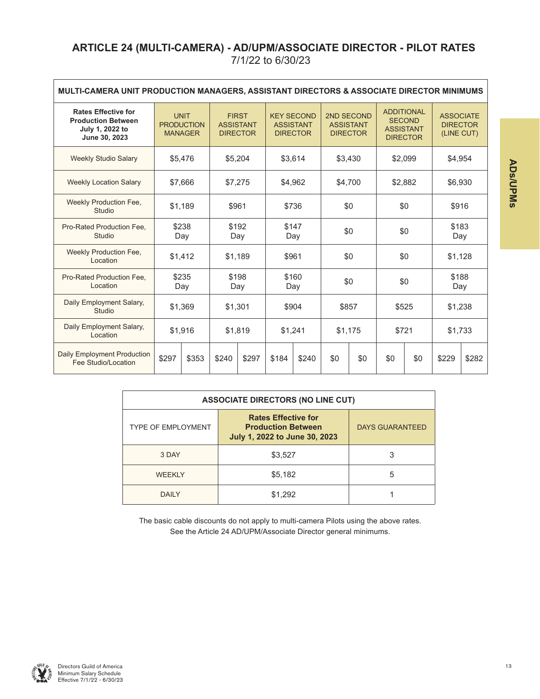## **ARTICLE 24 (MULTI-CAMERA) - AD/UPM/ASSOCIATE DIRECTOR - PILOT RATES** 7/1/22 to 6/30/23

| MULTI-CAMERA UNIT PRODUCTION MANAGERS, ASSISTANT DIRECTORS & ASSOCIATE DIRECTOR MINIMUMS    |              |                                                    |                                                                                                                 |         |              |                                                   |                  |                                                       |                                                   |       |              |         |  |
|---------------------------------------------------------------------------------------------|--------------|----------------------------------------------------|-----------------------------------------------------------------------------------------------------------------|---------|--------------|---------------------------------------------------|------------------|-------------------------------------------------------|---------------------------------------------------|-------|--------------|---------|--|
| <b>Rates Effective for</b><br><b>Production Between</b><br>July 1, 2022 to<br>June 30, 2023 |              | <b>UNIT</b><br><b>PRODUCTION</b><br><b>MANAGER</b> | <b>FIRST</b><br><b>KEY SECOND</b><br><b>ASSISTANT</b><br><b>ASSISTANT</b><br><b>DIRECTOR</b><br><b>DIRECTOR</b> |         |              | 2ND SECOND<br><b>ASSISTANT</b><br><b>DIRECTOR</b> | <b>ASSISTANT</b> | <b>ADDITIONAL</b><br><b>SECOND</b><br><b>DIRECTOR</b> | <b>ASSOCIATE</b><br><b>DIRECTOR</b><br>(LINE CUT) |       |              |         |  |
| <b>Weekly Studio Salary</b>                                                                 |              | \$3,614<br>\$3,430<br>\$5,204<br>\$5,476           |                                                                                                                 |         |              | \$2,099                                           | \$4,954          |                                                       |                                                   |       |              |         |  |
| <b>Weekly Location Salary</b>                                                               | \$7,666      |                                                    |                                                                                                                 | \$7,275 | \$4,962      |                                                   | \$4,700          |                                                       | \$2,882                                           |       |              | \$6,930 |  |
| Weekly Production Fee.<br>Studio                                                            |              | \$1,189                                            |                                                                                                                 | \$961   |              | \$736<br>\$0                                      |                  |                                                       | \$0                                               |       | \$916        |         |  |
| Pro-Rated Production Fee.<br>Studio                                                         | \$238<br>Day |                                                    | \$192<br>Day                                                                                                    |         | \$147<br>Day |                                                   | \$0              |                                                       | \$0                                               |       | \$183<br>Day |         |  |
| Weekly Production Fee.<br>Location                                                          |              | \$1,412                                            | \$1,189                                                                                                         |         | \$961        |                                                   | \$0              |                                                       | \$0                                               |       | \$1,128      |         |  |
| Pro-Rated Production Fee.<br>Location                                                       |              | \$235<br>Day                                       | \$198<br>Day                                                                                                    |         | \$160<br>Day |                                                   | \$0              |                                                       | \$0                                               |       | \$188<br>Day |         |  |
| Daily Employment Salary,<br>Studio                                                          |              | \$1,369                                            |                                                                                                                 | \$1,301 | \$904        |                                                   |                  | \$857                                                 |                                                   | \$525 | \$1,238      |         |  |
| Daily Employment Salary,<br>Location                                                        |              | \$1,916                                            |                                                                                                                 | \$1,819 | \$1,241      |                                                   |                  | \$721<br>\$1,175                                      |                                                   |       | \$1,733      |         |  |
| Daily Employment Production<br>Fee Studio/Location                                          | \$297        | \$353                                              | \$240                                                                                                           | \$297   | \$184        | \$240                                             | \$0              | \$0                                                   | \$0                                               | \$0   | \$229        | \$282   |  |

| <b>ASSOCIATE DIRECTORS (NO LINE CUT)</b> |                                                                                          |                        |  |  |  |  |  |  |  |
|------------------------------------------|------------------------------------------------------------------------------------------|------------------------|--|--|--|--|--|--|--|
| <b>TYPE OF EMPLOYMENT</b>                | <b>Rates Effective for</b><br><b>Production Between</b><br>July 1, 2022 to June 30, 2023 | <b>DAYS GUARANTEED</b> |  |  |  |  |  |  |  |
| 3 DAY                                    | \$3,527                                                                                  |                        |  |  |  |  |  |  |  |
| <b>WEEKIY</b>                            | \$5,182                                                                                  | 5                      |  |  |  |  |  |  |  |
| <b>DAILY</b>                             | \$1,292                                                                                  |                        |  |  |  |  |  |  |  |

The basic cable discounts do not apply to multi-camera Pilots using the above rates. See the Article 24 AD/UPM/Associate Director general minimums.



ADS/UPMs **ADs/UPMs**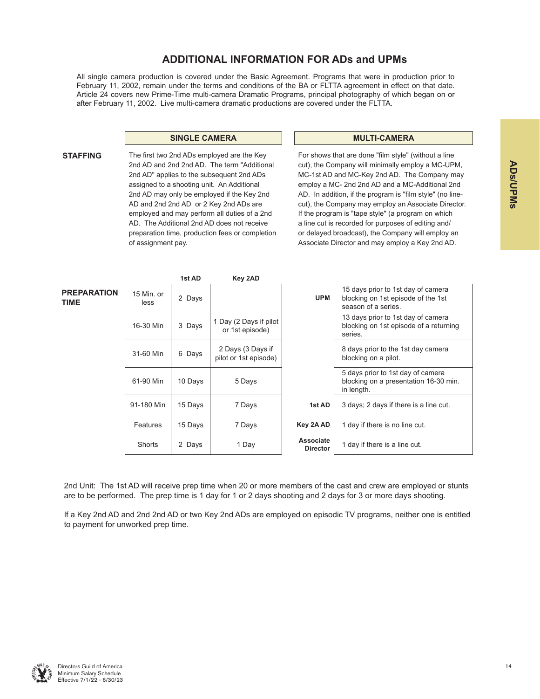## **ADDITIONAL INFORMATION FOR ADs and UPMs**

All single camera production is covered under the Basic Agreement. Programs that were in production prior to February 11, 2002, remain under the terms and conditions of the BA or FLTTA agreement in effect on that date. Article 24 covers new Prime-Time multi-camera Dramatic Programs, principal photography of which began on or after February 11, 2002. Live multi-camera dramatic productions are covered under the FLTTA.

#### **SINGLE CAMERA MULTI-CAMERA**

**STAFFING** The first two 2nd ADs employed are the Key 2nd AD and 2nd 2nd AD. The term "Additional 2nd AD" applies to the subsequent 2nd ADs assigned to a shooting unit. An Additional 2nd AD may only be employed if the Key 2nd AD and 2nd 2nd AD or 2 Key 2nd ADs are employed and may perform all duties of a 2nd AD. The Additional 2nd AD does not receive preparation time, production fees or completion of assignment pay.

For shows that are done "film style" (without a line cut), the Company will minimally employ a MC-UPM, MC-1st AD and MC-Key 2nd AD. The Company may employ a MC- 2nd 2nd AD and a MC-Additional 2nd AD. In addition, if the program is "film style" (no linecut), the Company may employ an Associate Director. If the program is "tape style" (a program on which a line cut is recorded for purposes of editing and/ or delayed broadcast), the Company will employ an Associate Director and may employ a Key 2nd AD.

|                            |                    | 1st AD  | Key 2AD                                    |                                     |                                                                                                 |
|----------------------------|--------------------|---------|--------------------------------------------|-------------------------------------|-------------------------------------------------------------------------------------------------|
| <b>PREPARATION</b><br>TIME | 15 Min. or<br>less | 2 Days  |                                            | <b>UPM</b>                          | 15 days prior to 1st day of camera<br>blocking on 1st episode of the 1st<br>season of a series. |
|                            | 16-30 Min          | 3 Days  | 1 Day (2 Days if pilot<br>or 1st episode)  |                                     | 13 days prior to 1st day of camera<br>blocking on 1st episode of a returning<br>series.         |
|                            | 31-60 Min          | 6 Days  | 2 Days (3 Days if<br>pilot or 1st episode) |                                     | 8 days prior to the 1st day camera<br>blocking on a pilot.                                      |
|                            | 61-90 Min          | 10 Days | 5 Days                                     |                                     | 5 days prior to 1st day of camera<br>blocking on a presentation 16-30 min.<br>in length.        |
|                            | 91-180 Min         | 15 Days | 7 Days                                     | 1st AD                              | 3 days; 2 days if there is a line cut.                                                          |
|                            | Features           | 15 Days | 7 Days                                     | Key 2A AD                           | 1 day if there is no line cut.                                                                  |
|                            | Shorts             | 2 Days  | 1 Day                                      | <b>Associate</b><br><b>Director</b> | 1 day if there is a line cut.                                                                   |

2nd Unit: The 1st AD will receive prep time when 20 or more members of the cast and crew are employed or stunts are to be performed. The prep time is 1 day for 1 or 2 days shooting and 2 days for 3 or more days shooting.

If a Key 2nd AD and 2nd 2nd AD or two Key 2nd ADs are employed on episodic TV programs, neither one is entitled to payment for unworked prep time.

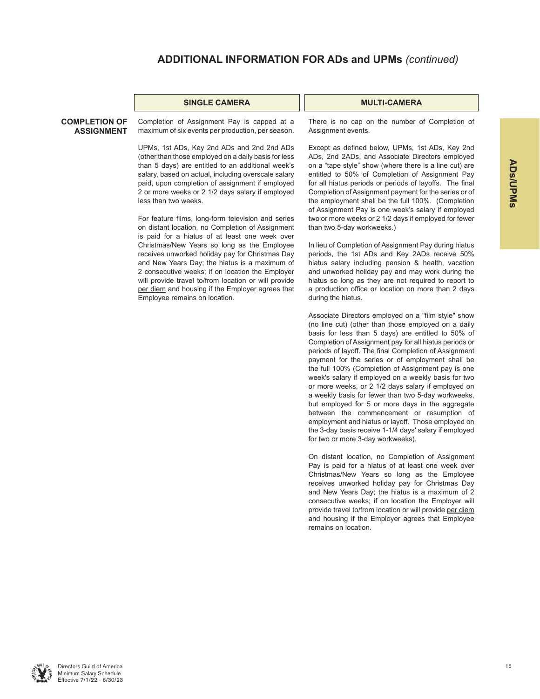#### **SINGLE CAMERA MULTI-CAMERA**

#### **COMPLETION OF ASSIGNMENT**

Completion of Assignment Pay is capped at a maximum of six events per production, per season.

UPMs, 1st ADs, Key 2nd ADs and 2nd 2nd ADs (other than those employed on a daily basis for less than 5 days) are entitled to an additional week's salary, based on actual, including overscale salary paid, upon completion of assignment if employed 2 or more weeks or 2 1/2 days salary if employed less than two weeks.

For feature films, long-form television and series on distant location, no Completion of Assignment is paid for a hiatus of at least one week over Christmas/New Years so long as the Employee receives unworked holiday pay for Christmas Day and New Years Day; the hiatus is a maximum of 2 consecutive weeks; if on location the Employer will provide travel to/from location or will provide per diem and housing if the Employer agrees that Employee remains on location.

There is no cap on the number of Completion of Assignment events.

Except as defined below, UPMs, 1st ADs, Key 2nd ADs, 2nd 2ADs, and Associate Directors employed on a "tape style" show (where there is a line cut) are entitled to 50% of Completion of Assignment Pay for all hiatus periods or periods of layoffs. The final Completion of Assignment payment for the series or of the employment shall be the full 100%. (Completion of Assignment Pay is one week's salary if employed two or more weeks or 2 1/2 days if employed for fewer than two 5-day workweeks.)

In lieu of Completion of Assignment Pay during hiatus periods, the 1st ADs and Key 2ADs receive 50% hiatus salary including pension & health, vacation and unworked holiday pay and may work during the hiatus so long as they are not required to report to a production office or location on more than 2 days during the hiatus.

Associate Directors employed on a "film style" show (no line cut) (other than those employed on a daily basis for less than 5 days) are entitled to 50% of Completion of Assignment pay for all hiatus periods or periods of layoff. The final Completion of Assignment payment for the series or of employment shall be the full 100% (Completion of Assignment pay is one week's salary if employed on a weekly basis for two or more weeks, or 2 1/2 days salary if employed on a weekly basis for fewer than two 5-day workweeks, but employed for 5 or more days in the aggregate between the commencement or resumption of employment and hiatus or layoff. Those employed on the 3-day basis receive 1-1/4 days' salary if employed for two or more 3-day workweeks).

On distant location, no Completion of Assignment Pay is paid for a hiatus of at least one week over Christmas/New Years so long as the Employee receives unworked holiday pay for Christmas Day and New Years Day; the hiatus is a maximum of 2 consecutive weeks; if on location the Employer will provide travel to/from location or will provide per diem and housing if the Employer agrees that Employee remains on location.

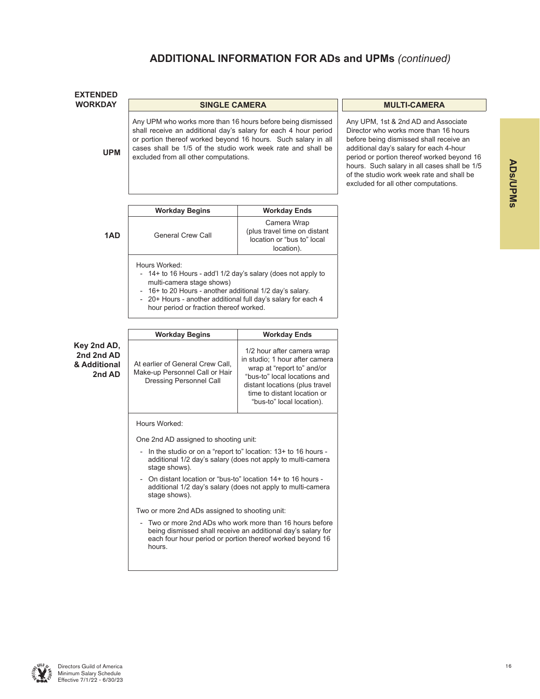| <b>EXTENDED</b>                                     |                                                                                                                                                                                                                                                                                                          |                                                                                                                                                                                                                          |                                                                                                                                                                                                                                                                                                                                                       |
|-----------------------------------------------------|----------------------------------------------------------------------------------------------------------------------------------------------------------------------------------------------------------------------------------------------------------------------------------------------------------|--------------------------------------------------------------------------------------------------------------------------------------------------------------------------------------------------------------------------|-------------------------------------------------------------------------------------------------------------------------------------------------------------------------------------------------------------------------------------------------------------------------------------------------------------------------------------------------------|
| <b>WORKDAY</b>                                      | <b>SINGLE CAMERA</b>                                                                                                                                                                                                                                                                                     |                                                                                                                                                                                                                          | <b>MULTI-CAMERA</b>                                                                                                                                                                                                                                                                                                                                   |
| <b>UPM</b>                                          | Any UPM who works more than 16 hours before being dismissed<br>shall receive an additional day's salary for each 4 hour period<br>or portion thereof worked beyond 16 hours. Such salary in all<br>cases shall be 1/5 of the studio work week rate and shall be<br>excluded from all other computations. |                                                                                                                                                                                                                          | Any UPM, 1st & 2nd AD and Associate<br>Director who works more than 16 hours<br>before being dismissed shall receive an<br>additional day's salary for each 4-hour<br>period or portion thereof worked beyond 16<br>hours. Such salary in all cases shall be 1/5<br>of the studio work week rate and shall be<br>excluded for all other computations. |
|                                                     | <b>Workday Begins</b>                                                                                                                                                                                                                                                                                    | <b>Workday Ends</b>                                                                                                                                                                                                      |                                                                                                                                                                                                                                                                                                                                                       |
| 1AD                                                 | <b>General Crew Call</b>                                                                                                                                                                                                                                                                                 | Camera Wrap<br>(plus travel time on distant<br>location or "bus to" local<br>location).                                                                                                                                  |                                                                                                                                                                                                                                                                                                                                                       |
|                                                     | Hours Worked:<br>- 14+ to 16 Hours - add'l 1/2 day's salary (does not apply to<br>multi-camera stage shows)<br>- 16+ to 20 Hours - another additional 1/2 day's salary.<br>20+ Hours - another additional full day's salary for each 4<br>hour period or fraction thereof worked.                        |                                                                                                                                                                                                                          |                                                                                                                                                                                                                                                                                                                                                       |
|                                                     | <b>Workday Begins</b>                                                                                                                                                                                                                                                                                    | <b>Workday Ends</b>                                                                                                                                                                                                      |                                                                                                                                                                                                                                                                                                                                                       |
| Key 2nd AD,<br>2nd 2nd AD<br>& Additional<br>2nd AD | At earlier of General Crew Call,<br>Make-up Personnel Call or Hair<br>Dressing Personnel Call                                                                                                                                                                                                            | 1/2 hour after camera wrap<br>in studio; 1 hour after camera<br>wrap at "report to" and/or<br>"bus-to" local locations and<br>distant locations (plus travel<br>time to distant location or<br>"bus-to" local location). |                                                                                                                                                                                                                                                                                                                                                       |
|                                                     | Hours Worked:                                                                                                                                                                                                                                                                                            |                                                                                                                                                                                                                          |                                                                                                                                                                                                                                                                                                                                                       |
|                                                     | One 2nd AD assigned to shooting unit:                                                                                                                                                                                                                                                                    |                                                                                                                                                                                                                          |                                                                                                                                                                                                                                                                                                                                                       |
|                                                     | - In the studio or on a "report to" location: 13+ to 16 hours -<br>stage shows).                                                                                                                                                                                                                         | additional 1/2 day's salary (does not apply to multi-camera                                                                                                                                                              |                                                                                                                                                                                                                                                                                                                                                       |
|                                                     | - On distant location or "bus-to" location 14+ to 16 hours -<br>stage shows).                                                                                                                                                                                                                            | additional 1/2 day's salary (does not apply to multi-camera                                                                                                                                                              |                                                                                                                                                                                                                                                                                                                                                       |
|                                                     | Two or more 2nd ADs assigned to shooting unit:                                                                                                                                                                                                                                                           |                                                                                                                                                                                                                          |                                                                                                                                                                                                                                                                                                                                                       |
|                                                     | hours.                                                                                                                                                                                                                                                                                                   | Two or more 2nd ADs who work more than 16 hours before<br>being dismissed shall receive an additional day's salary for<br>each four hour period or portion thereof worked beyond 16                                      |                                                                                                                                                                                                                                                                                                                                                       |
|                                                     |                                                                                                                                                                                                                                                                                                          |                                                                                                                                                                                                                          |                                                                                                                                                                                                                                                                                                                                                       |

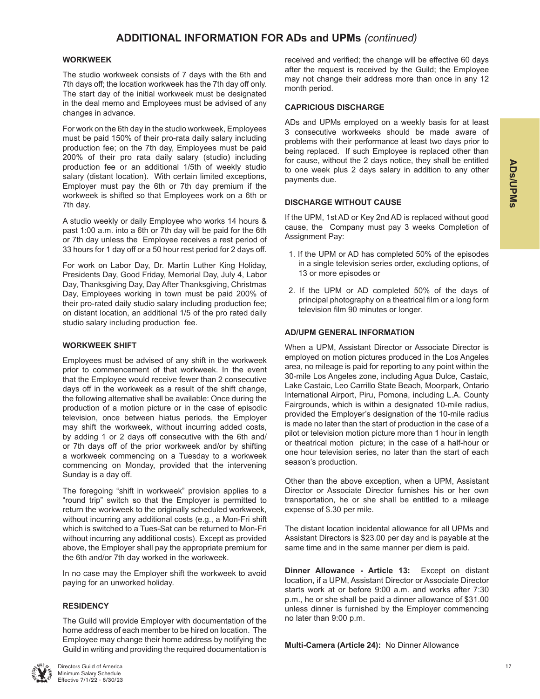#### **WORKWEEK**

The studio workweek consists of 7 days with the 6th and 7th days off; the location workweek has the 7th day off only. The start day of the initial workweek must be designated in the deal memo and Employees must be advised of any changes in advance.

For work on the 6th day in the studio workweek, Employees must be paid 150% of their pro-rata daily salary including production fee; on the 7th day, Employees must be paid 200% of their pro rata daily salary (studio) including production fee or an additional 1/5th of weekly studio salary (distant location). With certain limited exceptions, Employer must pay the 6th or 7th day premium if the workweek is shifted so that Employees work on a 6th or 7th day.

A studio weekly or daily Employee who works 14 hours & past 1:00 a.m. into a 6th or 7th day will be paid for the 6th or 7th day unless the Employee receives a rest period of 33 hours for 1 day off or a 50 hour rest period for 2 days off.

For work on Labor Day, Dr. Martin Luther King Holiday, Presidents Day, Good Friday, Memorial Day, July 4, Labor Day, Thanksgiving Day, Day After Thanksgiving, Christmas Day, Employees working in town must be paid 200% of their pro-rated daily studio salary including production fee; on distant location, an additional 1/5 of the pro rated daily studio salary including production fee.

#### **WORKWEEK SHIFT**

Employees must be advised of any shift in the workweek prior to commencement of that workweek. In the event that the Employee would receive fewer than 2 consecutive days off in the workweek as a result of the shift change, the following alternative shall be available: Once during the production of a motion picture or in the case of episodic television, once between hiatus periods, the Employer may shift the workweek, without incurring added costs, by adding 1 or 2 days off consecutive with the 6th and/ or 7th days off of the prior workweek and/or by shifting a workweek commencing on a Tuesday to a workweek commencing on Monday, provided that the intervening Sunday is a day off.

The foregoing "shift in workweek" provision applies to a "round trip" switch so that the Employer is permitted to return the workweek to the originally scheduled workweek, without incurring any additional costs (e.g., a Mon-Fri shift which is switched to a Tues-Sat can be returned to Mon-Fri without incurring any additional costs). Except as provided above, the Employer shall pay the appropriate premium for the 6th and/or 7th day worked in the workweek.

In no case may the Employer shift the workweek to avoid paying for an unworked holiday.

#### **RESIDENCY**

The Guild will provide Employer with documentation of the home address of each member to be hired on location. The Employee may change their home address by notifying the Guild in writing and providing the required documentation is

received and verified; the change will be effective 60 days after the request is received by the Guild; the Employee may not change their address more than once in any 12 month period.

#### **CAPRICIOUS DISCHARGE**

ADs and UPMs employed on a weekly basis for at least 3 consecutive workweeks should be made aware of problems with their performance at least two days prior to being replaced. If such Employee is replaced other than for cause, without the 2 days notice, they shall be entitled to one week plus 2 days salary in addition to any other payments due.

#### **DISCHARGE WITHOUT CAUSE**

If the UPM, 1st AD or Key 2nd AD is replaced without good cause, the Company must pay 3 weeks Completion of Assignment Pay:

- 1. If the UPM or AD has completed 50% of the episodes in a single television series order, excluding options, of 13 or more episodes or
- 2. If the UPM or AD completed 50% of the days of principal photography on a theatrical film or a long form television film 90 minutes or longer.

#### **AD/UPM GENERAL INFORMATION**

When a UPM, Assistant Director or Associate Director is employed on motion pictures produced in the Los Angeles area, no mileage is paid for reporting to any point within the 30-mile Los Angeles zone, including Agua Dulce, Castaic, Lake Castaic, Leo Carrillo State Beach, Moorpark, Ontario International Airport, Piru, Pomona, including L.A. County Fairgrounds, which is within a designated 10-mile radius, provided the Employer's designation of the 10-mile radius is made no later than the start of production in the case of a pilot or television motion picture more than 1 hour in length or theatrical motion picture; in the case of a half-hour or one hour television series, no later than the start of each season's production.

Other than the above exception, when a UPM, Assistant Director or Associate Director furnishes his or her own transportation, he or she shall be entitled to a mileage expense of \$.30 per mile.

The distant location incidental allowance for all UPMs and Assistant Directors is \$23.00 per day and is payable at the same time and in the same manner per diem is paid.

**Dinner Allowance - Article 13:** Except on distant location, if a UPM, Assistant Director or Associate Director starts work at or before 9:00 a.m. and works after 7:30 p.m., he or she shall be paid a dinner allowance of \$31.00 unless dinner is furnished by the Employer commencing no later than 9:00 p.m.

**Multi-Camera (Article 24):** No Dinner Allowance

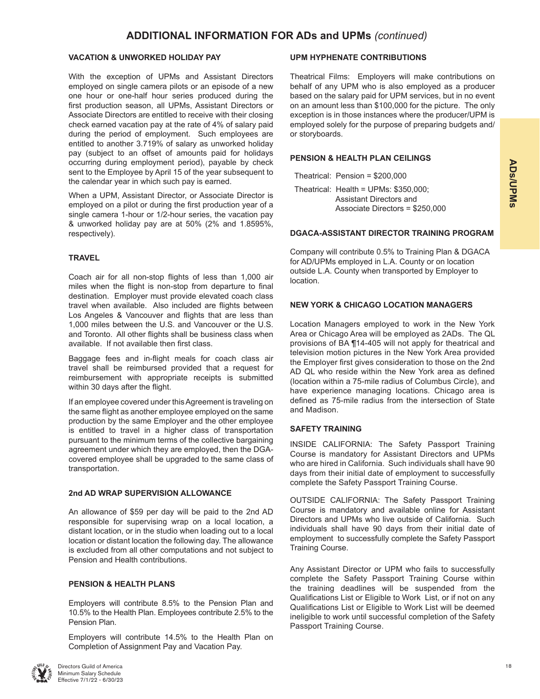#### **VACATION & UNWORKED HOLIDAY PAY**

With the exception of UPMs and Assistant Directors employed on single camera pilots or an episode of a new one hour or one-half hour series produced during the first production season, all UPMs, Assistant Directors or Associate Directors are entitled to receive with their closing check earned vacation pay at the rate of 4% of salary paid during the period of employment. Such employees are entitled to another 3.719% of salary as unworked holiday pay (subject to an offset of amounts paid for holidays occurring during employment period), payable by check sent to the Employee by April 15 of the year subsequent to the calendar year in which such pay is earned.

When a UPM, Assistant Director, or Associate Director is employed on a pilot or during the first production year of a single camera 1-hour or 1/2-hour series, the vacation pay & unworked holiday pay are at 50% (2% and 1.8595%, respectively).

#### **TRAVEL**

Coach air for all non-stop flights of less than 1,000 air miles when the flight is non-stop from departure to final destination. Employer must provide elevated coach class travel when available. Also included are flights between Los Angeles & Vancouver and flights that are less than 1,000 miles between the U.S. and Vancouver or the U.S. and Toronto. All other flights shall be business class when available. If not available then first class.

Baggage fees and in-flight meals for coach class air travel shall be reimbursed provided that a request for reimbursement with appropriate receipts is submitted within 30 days after the flight.

If an employee covered under this Agreement is traveling on the same flight as another employee employed on the same production by the same Employer and the other employee is entitled to travel in a higher class of transportation pursuant to the minimum terms of the collective bargaining agreement under which they are employed, then the DGAcovered employee shall be upgraded to the same class of transportation.

#### **2nd AD WRAP SUPERVISION ALLOWANCE**

An allowance of \$59 per day will be paid to the 2nd AD responsible for supervising wrap on a local location, a distant location, or in the studio when loading out to a local location or distant location the following day. The allowance is excluded from all other computations and not subject to Pension and Health contributions.

#### **PENSION & HEALTH PLANS**

Employers will contribute 8.5% to the Pension Plan and 10.5% to the Health Plan. Employees contribute 2.5% to the Pension Plan.

Employers will contribute 14.5% to the Health Plan on Completion of Assignment Pay and Vacation Pay.



Directors Guild of America Minimum Salary Schedule Effective 7/1/22 - 6/30/23

#### **UPM HYPHENATE CONTRIBUTIONS**

Theatrical Films: Employers will make contributions on behalf of any UPM who is also employed as a producer based on the salary paid for UPM services, but in no event on an amount less than \$100,000 for the picture. The only exception is in those instances where the producer/UPM is employed solely for the purpose of preparing budgets and/ or storyboards.

#### **PENSION & HEALTH PLAN CEILINGS**

Theatrical: Pension = \$200,000

Theatrical: Health = UPMs: \$350,000; Assistant Directors and Associate Directors = \$250,000

#### **DGACA-ASSISTANT DIRECTOR TRAINING PROGRAM**

Company will contribute 0.5% to Training Plan & DGACA for AD/UPMs employed in L.A. County or on location outside L.A. County when transported by Employer to location.

#### **NEW YORK & CHICAGO LOCATION MANAGERS**

Location Managers employed to work in the New York Area or Chicago Area will be employed as 2ADs. The QL provisions of BA ¶14-405 will not apply for theatrical and television motion pictures in the New York Area provided the Employer first gives consideration to those on the 2nd AD QL who reside within the New York area as defined (location within a 75-mile radius of Columbus Circle), and have experience managing locations. Chicago area is defined as 75-mile radius from the intersection of State and Madison.

#### **SAFETY TRAINING**

INSIDE CALIFORNIA: The Safety Passport Training Course is mandatory for Assistant Directors and UPMs who are hired in California. Such individuals shall have 90 days from their initial date of employment to successfully complete the Safety Passport Training Course.

OUTSIDE CALIFORNIA: The Safety Passport Training Course is mandatory and available online for Assistant Directors and UPMs who live outside of California. Such individuals shall have 90 days from their initial date of employment to successfully complete the Safety Passport Training Course.

Any Assistant Director or UPM who fails to successfully complete the Safety Passport Training Course within the training deadlines will be suspended from the Qualifications List or Eligible to Work List, or if not on any Qualifications List or Eligible to Work List will be deemed ineligible to work until successful completion of the Safety Passport Training Course.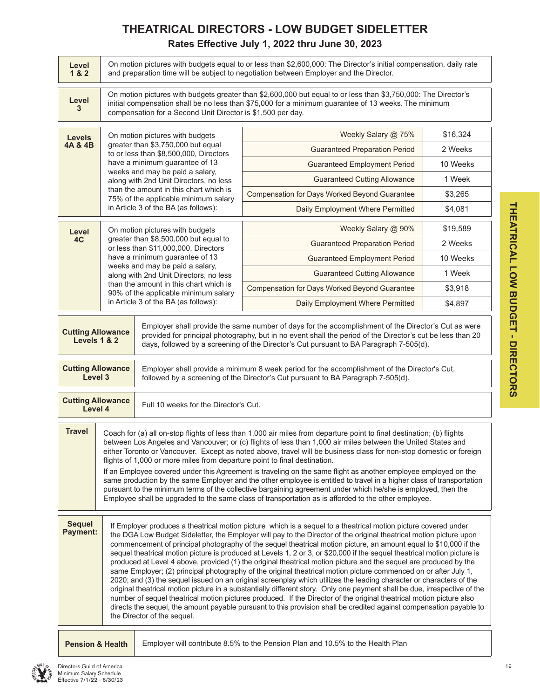## **THEATRICAL DIRECTORS - LOW BUDGET SIDELETTER Rates Effective July 1, 2022 thru June 30, 2023**

| Level<br>18.2                       | On motion pictures with budgets equal to or less than \$2,600,000. The Director's initial compensation, daily rate<br>and preparation time will be subject to negotiation between Employer and the Director.                                                                                                                                                                                                                                                                                                                                                                                                                                                                                                                                                                                                                                                                                                  |                                                                                |                                                                                                                                                                                                                                                                                                                                                                                                                                                                                                                                                                                                                                                                                                                                                                                                                                                                                                                                                                                                                                                                                                                                                                                                                                     |          |  |  |  |  |  |  |
|-------------------------------------|---------------------------------------------------------------------------------------------------------------------------------------------------------------------------------------------------------------------------------------------------------------------------------------------------------------------------------------------------------------------------------------------------------------------------------------------------------------------------------------------------------------------------------------------------------------------------------------------------------------------------------------------------------------------------------------------------------------------------------------------------------------------------------------------------------------------------------------------------------------------------------------------------------------|--------------------------------------------------------------------------------|-------------------------------------------------------------------------------------------------------------------------------------------------------------------------------------------------------------------------------------------------------------------------------------------------------------------------------------------------------------------------------------------------------------------------------------------------------------------------------------------------------------------------------------------------------------------------------------------------------------------------------------------------------------------------------------------------------------------------------------------------------------------------------------------------------------------------------------------------------------------------------------------------------------------------------------------------------------------------------------------------------------------------------------------------------------------------------------------------------------------------------------------------------------------------------------------------------------------------------------|----------|--|--|--|--|--|--|
| Level<br>3                          |                                                                                                                                                                                                                                                                                                                                                                                                                                                                                                                                                                                                                                                                                                                                                                                                                                                                                                               | compensation for a Second Unit Director is \$1,500 per day.                    | On motion pictures with budgets greater than \$2,600,000 but equal to or less than \$3,750,000: The Director's<br>initial compensation shall be no less than \$75,000 for a minimum guarantee of 13 weeks. The minimum                                                                                                                                                                                                                                                                                                                                                                                                                                                                                                                                                                                                                                                                                                                                                                                                                                                                                                                                                                                                              |          |  |  |  |  |  |  |
| <b>Levels</b>                       |                                                                                                                                                                                                                                                                                                                                                                                                                                                                                                                                                                                                                                                                                                                                                                                                                                                                                                               | On motion pictures with budgets                                                | Weekly Salary @ 75%                                                                                                                                                                                                                                                                                                                                                                                                                                                                                                                                                                                                                                                                                                                                                                                                                                                                                                                                                                                                                                                                                                                                                                                                                 | \$16,324 |  |  |  |  |  |  |
| 4A & 4B                             |                                                                                                                                                                                                                                                                                                                                                                                                                                                                                                                                                                                                                                                                                                                                                                                                                                                                                                               | greater than \$3,750,000 but equal<br>to or less than \$8,500,000, Directors   | <b>Guaranteed Preparation Period</b>                                                                                                                                                                                                                                                                                                                                                                                                                                                                                                                                                                                                                                                                                                                                                                                                                                                                                                                                                                                                                                                                                                                                                                                                | 2 Weeks  |  |  |  |  |  |  |
|                                     |                                                                                                                                                                                                                                                                                                                                                                                                                                                                                                                                                                                                                                                                                                                                                                                                                                                                                                               | have a minimum guarantee of 13                                                 | 10 Weeks                                                                                                                                                                                                                                                                                                                                                                                                                                                                                                                                                                                                                                                                                                                                                                                                                                                                                                                                                                                                                                                                                                                                                                                                                            |          |  |  |  |  |  |  |
|                                     |                                                                                                                                                                                                                                                                                                                                                                                                                                                                                                                                                                                                                                                                                                                                                                                                                                                                                                               | weeks and may be paid a salary,<br>along with 2nd Unit Directors, no less      | <b>Guaranteed Cutting Allowance</b>                                                                                                                                                                                                                                                                                                                                                                                                                                                                                                                                                                                                                                                                                                                                                                                                                                                                                                                                                                                                                                                                                                                                                                                                 | 1 Week   |  |  |  |  |  |  |
|                                     |                                                                                                                                                                                                                                                                                                                                                                                                                                                                                                                                                                                                                                                                                                                                                                                                                                                                                                               | than the amount in this chart which is<br>75% of the applicable minimum salary | Compensation for Days Worked Beyond Guarantee                                                                                                                                                                                                                                                                                                                                                                                                                                                                                                                                                                                                                                                                                                                                                                                                                                                                                                                                                                                                                                                                                                                                                                                       | \$3,265  |  |  |  |  |  |  |
|                                     |                                                                                                                                                                                                                                                                                                                                                                                                                                                                                                                                                                                                                                                                                                                                                                                                                                                                                                               | in Article 3 of the BA (as follows):                                           | Daily Employment Where Permitted                                                                                                                                                                                                                                                                                                                                                                                                                                                                                                                                                                                                                                                                                                                                                                                                                                                                                                                                                                                                                                                                                                                                                                                                    | \$4,081  |  |  |  |  |  |  |
| Level                               |                                                                                                                                                                                                                                                                                                                                                                                                                                                                                                                                                                                                                                                                                                                                                                                                                                                                                                               | On motion pictures with budgets                                                | Weekly Salary @ 90%                                                                                                                                                                                                                                                                                                                                                                                                                                                                                                                                                                                                                                                                                                                                                                                                                                                                                                                                                                                                                                                                                                                                                                                                                 | \$19,589 |  |  |  |  |  |  |
| 4C                                  |                                                                                                                                                                                                                                                                                                                                                                                                                                                                                                                                                                                                                                                                                                                                                                                                                                                                                                               | greater than \$8,500,000 but equal to<br>or less than \$11,000,000, Directors  | <b>Guaranteed Preparation Period</b>                                                                                                                                                                                                                                                                                                                                                                                                                                                                                                                                                                                                                                                                                                                                                                                                                                                                                                                                                                                                                                                                                                                                                                                                | 2 Weeks  |  |  |  |  |  |  |
|                                     |                                                                                                                                                                                                                                                                                                                                                                                                                                                                                                                                                                                                                                                                                                                                                                                                                                                                                                               | have a minimum guarantee of 13<br>weeks and may be paid a salary,              | <b>Guaranteed Employment Period</b>                                                                                                                                                                                                                                                                                                                                                                                                                                                                                                                                                                                                                                                                                                                                                                                                                                                                                                                                                                                                                                                                                                                                                                                                 | 10 Weeks |  |  |  |  |  |  |
|                                     |                                                                                                                                                                                                                                                                                                                                                                                                                                                                                                                                                                                                                                                                                                                                                                                                                                                                                                               | along with 2nd Unit Directors, no less                                         | <b>Guaranteed Cutting Allowance</b>                                                                                                                                                                                                                                                                                                                                                                                                                                                                                                                                                                                                                                                                                                                                                                                                                                                                                                                                                                                                                                                                                                                                                                                                 | 1 Week   |  |  |  |  |  |  |
|                                     |                                                                                                                                                                                                                                                                                                                                                                                                                                                                                                                                                                                                                                                                                                                                                                                                                                                                                                               | than the amount in this chart which is<br>90% of the applicable minimum salary | Compensation for Days Worked Beyond Guarantee                                                                                                                                                                                                                                                                                                                                                                                                                                                                                                                                                                                                                                                                                                                                                                                                                                                                                                                                                                                                                                                                                                                                                                                       | \$3,918  |  |  |  |  |  |  |
|                                     |                                                                                                                                                                                                                                                                                                                                                                                                                                                                                                                                                                                                                                                                                                                                                                                                                                                                                                               | in Article 3 of the BA (as follows):                                           | Daily Employment Where Permitted                                                                                                                                                                                                                                                                                                                                                                                                                                                                                                                                                                                                                                                                                                                                                                                                                                                                                                                                                                                                                                                                                                                                                                                                    | \$4,897  |  |  |  |  |  |  |
|                                     | Employer shall provide the same number of days for the accomplishment of the Director's Cut as were<br><b>Cutting Allowance</b><br>provided for principal photography, but in no event shall the period of the Director's cut be less than 20<br>Levels 1 & 2<br>days, followed by a screening of the Director's Cut pursuant to BA Paragraph 7-505(d).                                                                                                                                                                                                                                                                                                                                                                                                                                                                                                                                                       |                                                                                |                                                                                                                                                                                                                                                                                                                                                                                                                                                                                                                                                                                                                                                                                                                                                                                                                                                                                                                                                                                                                                                                                                                                                                                                                                     |          |  |  |  |  |  |  |
| <b>Cutting Allowance</b><br>Level 3 |                                                                                                                                                                                                                                                                                                                                                                                                                                                                                                                                                                                                                                                                                                                                                                                                                                                                                                               |                                                                                | Employer shall provide a minimum 8 week period for the accomplishment of the Director's Cut,<br>followed by a screening of the Director's Cut pursuant to BA Paragraph 7-505(d).                                                                                                                                                                                                                                                                                                                                                                                                                                                                                                                                                                                                                                                                                                                                                                                                                                                                                                                                                                                                                                                    |          |  |  |  |  |  |  |
| <b>Cutting Allowance</b><br>Level 4 |                                                                                                                                                                                                                                                                                                                                                                                                                                                                                                                                                                                                                                                                                                                                                                                                                                                                                                               | Full 10 weeks for the Director's Cut.                                          |                                                                                                                                                                                                                                                                                                                                                                                                                                                                                                                                                                                                                                                                                                                                                                                                                                                                                                                                                                                                                                                                                                                                                                                                                                     |          |  |  |  |  |  |  |
| <b>Travel</b>                       | Coach for (a) all on-stop flights of less than 1,000 air miles from departure point to final destination; (b) flights<br>between Los Angeles and Vancouver; or (c) flights of less than 1,000 air miles between the United States and<br>either Toronto or Vancouver. Except as noted above, travel will be business class for non-stop domestic or foreign<br>flights of 1,000 or more miles from departure point to final destination.<br>If an Employee covered under this Agreement is traveling on the same flight as another employee employed on the<br>same production by the same Employer and the other employee is entitled to travel in a higher class of transportation<br>pursuant to the minimum terms of the collective bargaining agreement under which he/she is employed, then the<br>Employee shall be upgraded to the same class of transportation as is afforded to the other employee. |                                                                                |                                                                                                                                                                                                                                                                                                                                                                                                                                                                                                                                                                                                                                                                                                                                                                                                                                                                                                                                                                                                                                                                                                                                                                                                                                     |          |  |  |  |  |  |  |
| <b>Sequel</b><br>Payment:           |                                                                                                                                                                                                                                                                                                                                                                                                                                                                                                                                                                                                                                                                                                                                                                                                                                                                                                               | the Director of the sequel.                                                    | If Employer produces a theatrical motion picture which is a sequel to a theatrical motion picture covered under<br>the DGA Low Budget Sideletter, the Employer will pay to the Director of the original theatrical motion picture upon<br>commencement of principal photography of the sequel theatrical motion picture, an amount equal to \$10,000 if the<br>sequel theatrical motion picture is produced at Levels 1, 2 or 3, or \$20,000 if the sequel theatrical motion picture is<br>produced at Level 4 above, provided (1) the original theatrical motion picture and the sequel are produced by the<br>same Employer; (2) principal photography of the original theatrical motion picture commenced on or after July 1,<br>2020; and (3) the sequel issued on an original screenplay which utilizes the leading character or characters of the<br>original theatrical motion picture in a substantially different story. Only one payment shall be due, irrespective of the<br>number of sequel theatrical motion pictures produced. If the Director of the original theatrical motion picture also<br>directs the sequel, the amount payable pursuant to this provision shall be credited against compensation payable to |          |  |  |  |  |  |  |

**Pension & Health** Employer will contribute 8.5% to the Pension Plan and 10.5% to the Health Plan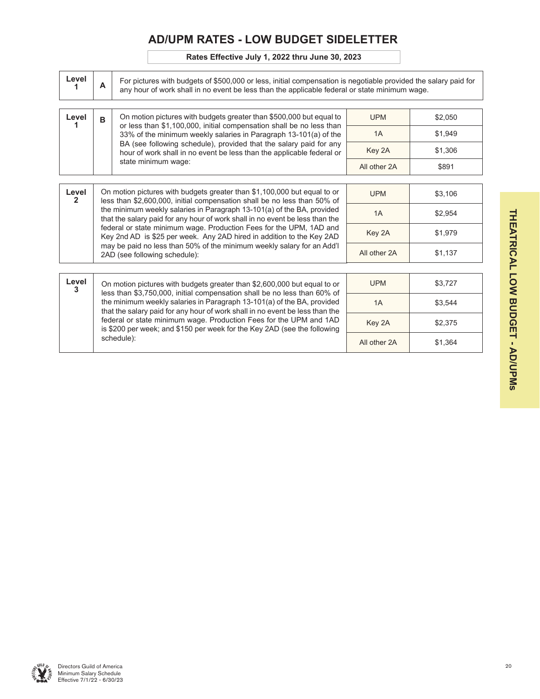## **AD/UPM RATES - LOW BUDGET SIDELETTER**

### **Rates Effective July 1, 2022 thru June 30, 2023**

| Level      | A | For pictures with budgets of \$500,000 or less, initial compensation is negotiable provided the salary paid for<br>any hour of work shall in no event be less than the applicable federal or state minimum wage. |              |         |  |  |  |  |  |  |  |
|------------|---|------------------------------------------------------------------------------------------------------------------------------------------------------------------------------------------------------------------|--------------|---------|--|--|--|--|--|--|--|
| Level      | B | On motion pictures with budgets greater than \$500,000 but equal to                                                                                                                                              | <b>UPM</b>   | \$2,050 |  |  |  |  |  |  |  |
|            |   | or less than \$1,100,000, initial compensation shall be no less than<br>33% of the minimum weekly salaries in Paragraph 13-101(a) of the                                                                         | 1A           | \$1,949 |  |  |  |  |  |  |  |
|            |   | BA (see following schedule), provided that the salary paid for any<br>hour of work shall in no event be less than the applicable federal or                                                                      | Key 2A       | \$1,306 |  |  |  |  |  |  |  |
|            |   | state minimum wage:                                                                                                                                                                                              | All other 2A | \$891   |  |  |  |  |  |  |  |
|            |   |                                                                                                                                                                                                                  |              |         |  |  |  |  |  |  |  |
| Level<br>2 |   | On motion pictures with budgets greater than \$1,100,000 but equal to or<br>less than \$2,600,000, initial compensation shall be no less than 50% of                                                             | <b>UPM</b>   | \$3,106 |  |  |  |  |  |  |  |
|            |   | the minimum weekly salaries in Paragraph 13-101(a) of the BA, provided<br>that the salary paid for any hour of work shall in no event be less than the                                                           | 1A           | \$2,954 |  |  |  |  |  |  |  |
|            |   | federal or state minimum wage. Production Fees for the UPM, 1AD and<br>Key 2nd AD is \$25 per week. Any 2AD hired in addition to the Key 2AD                                                                     | Key 2A       | \$1,979 |  |  |  |  |  |  |  |
|            |   | may be paid no less than 50% of the minimum weekly salary for an Add'l<br>2AD (see following schedule):                                                                                                          | All other 2A | \$1,137 |  |  |  |  |  |  |  |
|            |   |                                                                                                                                                                                                                  |              |         |  |  |  |  |  |  |  |
| Level<br>3 |   | On motion pictures with budgets greater than \$2,600,000 but equal to or<br>less than \$3,750,000, initial compensation shall be no less than 60% of                                                             | <b>UPM</b>   | \$3,727 |  |  |  |  |  |  |  |
|            |   | the minimum weekly salaries in Paragraph 13-101(a) of the BA, provided<br>that the salary paid for any hour of work shall in no event be less than the                                                           | 1A           | \$3,544 |  |  |  |  |  |  |  |
|            |   | federal or state minimum wage. Production Fees for the UPM and 1AD<br>is \$200 per week; and \$150 per week for the Key 2AD (see the following                                                                   | Key 2A       | \$2,375 |  |  |  |  |  |  |  |
|            |   | schedule):                                                                                                                                                                                                       | All other 2A | \$1,364 |  |  |  |  |  |  |  |

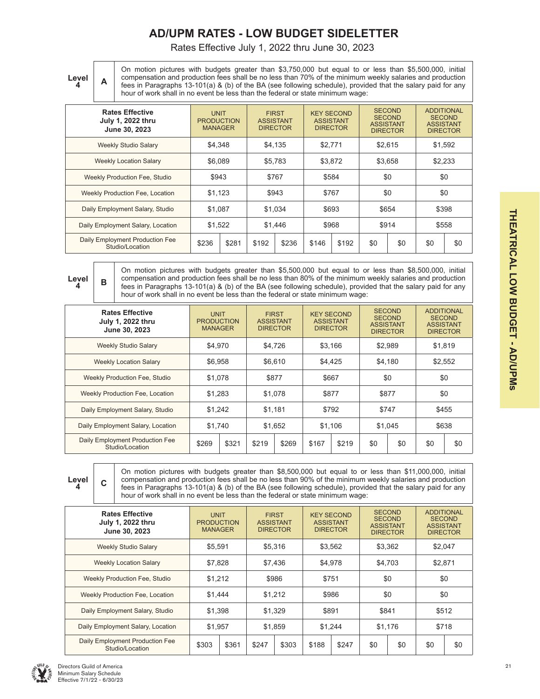## **AD/UPM RATES - LOW BUDGET SIDELETTER**

Rates Effective July 1, 2022 thru June 30, 2023

**Level** 

**<sup>4</sup> A**

On motion pictures with budgets greater than \$3,750,000 but equal to or less than \$5,500,000, initial compensation and production fees shall be no less than 70% of the minimum weekly salaries and production fees in Paragraphs 13-101(a) & (b) of the BA (see following schedule), provided that the salary paid for any hour of work shall in no event be less than the federal or state minimum wage:

| <b>Rates Effective</b><br>July 1, 2022 thru<br>June 30, 2023 | <b>UNIT</b><br><b>PRODUCTION</b><br><b>MANAGER</b> |                             | <b>ASSISTANT</b> | <b>FIRST</b><br><b>DIRECTOR</b> | <b>KEY SECOND</b><br><b>ASSISTANT</b><br><b>DIRECTOR</b> |       | <b>SECOND</b><br><b>SECOND</b><br><b>ASSISTANT</b><br><b>DIRECTOR</b> |     | <b>ADDITIONAL</b><br><b>SECOND</b><br><b>ASSISTANT</b><br><b>DIRECTOR</b> |     |
|--------------------------------------------------------------|----------------------------------------------------|-----------------------------|------------------|---------------------------------|----------------------------------------------------------|-------|-----------------------------------------------------------------------|-----|---------------------------------------------------------------------------|-----|
| <b>Weekly Studio Salary</b>                                  | \$4,348                                            |                             |                  | \$4.135                         | \$2.771                                                  |       | \$2,615                                                               |     | \$1,592                                                                   |     |
| <b>Weekly Location Salary</b>                                | \$6.089                                            |                             |                  | \$5.783                         | \$3.872                                                  |       | \$3,658                                                               |     | \$2,233                                                                   |     |
| Weekly Production Fee, Studio                                | \$943                                              |                             |                  | \$584<br>\$767                  |                                                          |       | \$0                                                                   |     | \$0                                                                       |     |
| <b>Weekly Production Fee, Location</b>                       | \$1.123                                            |                             | \$943            |                                 | \$767                                                    |       | \$0                                                                   |     | \$0                                                                       |     |
| Daily Employment Salary, Studio                              | \$1.087                                            |                             | \$1.034          |                                 | \$693                                                    |       | \$654                                                                 |     | \$398                                                                     |     |
| Daily Employment Salary, Location                            |                                                    | \$968<br>\$1,522<br>\$1.446 |                  |                                 | \$914                                                    |       | \$558                                                                 |     |                                                                           |     |
| Daily Employment Production Fee<br>Studio/Location           | \$236                                              | \$281                       | \$192            | \$236                           | \$146                                                    | \$192 | \$0                                                                   | \$0 | \$0                                                                       | \$0 |
|                                                              |                                                    |                             |                  |                                 |                                                          |       |                                                                       |     |                                                                           |     |



**<sup>4</sup> B**

On motion pictures with budgets greater than \$5,500,000 but equal to or less than \$8,500,000, initial compensation and production fees shall be no less than 80% of the minimum weekly salaries and production fees in Paragraphs 13-101(a) & (b) of the BA (see following schedule), provided that the salary paid for any hour of work shall in no event be less than the federal or state minimum wage:

| <b>Rates Effective</b><br>July 1, 2022 thru<br>June 30, 2023 | <b>UNIT</b><br><b>PRODUCTION</b><br><b>MANAGER</b> |       |                | <b>FIRST</b><br><b>ASSISTANT</b><br><b>DIRECTOR</b> | <b>KEY SECOND</b><br><b>ASSISTANT</b><br><b>DIRECTOR</b> |       |         | <b>SECOND</b><br><b>SECOND</b><br><b>ASSISTANT</b><br><b>DIRECTOR</b> | <b>ADDITIONAL</b><br><b>SECOND</b><br><b>ASSISTANT</b><br><b>DIRECTOR</b> |         |  |
|--------------------------------------------------------------|----------------------------------------------------|-------|----------------|-----------------------------------------------------|----------------------------------------------------------|-------|---------|-----------------------------------------------------------------------|---------------------------------------------------------------------------|---------|--|
| <b>Weekly Studio Salary</b>                                  | \$4.970                                            |       |                | \$4.726                                             | \$3.166                                                  |       | \$2.989 |                                                                       |                                                                           | \$1,819 |  |
| <b>Weekly Location Salary</b>                                | \$6,958                                            |       | \$6.610        |                                                     | \$4,425                                                  |       | \$4.180 |                                                                       | \$2,552                                                                   |         |  |
| Weekly Production Fee, Studio                                | \$1.078                                            |       | \$877<br>\$667 |                                                     | \$0                                                      |       | \$0     |                                                                       |                                                                           |         |  |
| <b>Weekly Production Fee, Location</b>                       | \$1,283                                            |       | \$1,078        |                                                     | \$877                                                    |       | \$877   |                                                                       | \$0                                                                       |         |  |
| Daily Employment Salary, Studio                              | \$1,242                                            |       |                | \$792<br>\$1.181                                    |                                                          | \$747 |         | \$455                                                                 |                                                                           |         |  |
| Daily Employment Salary, Location                            | \$1.740                                            |       | \$1.652        |                                                     | \$1.106                                                  |       | \$1.045 |                                                                       | \$638                                                                     |         |  |
| Daily Employment Production Fee<br>Studio/Location           | \$269                                              | \$321 | \$219          | \$269                                               | \$167                                                    | \$219 | \$0     | \$0                                                                   | \$0                                                                       | \$0     |  |



**<sup>4</sup> C**

On motion pictures with budgets greater than \$8,500,000 but equal to or less than \$11,000,000, initial compensation and production fees shall be no less than 90% of the minimum weekly salaries and production fees in Paragraphs 13-101(a) & (b) of the BA (see following schedule), provided that the salary paid for any hour of work shall in no event be less than the federal or state minimum wage:

| <b>Rates Effective</b><br>July 1, 2022 thru<br>June 30, 2023 | <b>UNIT</b><br><b>PRODUCTION</b><br><b>MANAGER</b> |       |                  | <b>FIRST</b><br><b>ASSISTANT</b><br><b>DIRECTOR</b> | <b>KEY SECOND</b><br><b>ASSISTANT</b> | <b>DIRECTOR</b> |         | <b>SECOND</b><br><b>SECOND</b><br><b>ASSISTANT</b><br><b>DIRECTOR</b> | <b>ADDITIONAL</b><br><b>SECOND</b><br><b>ASSISTANT</b><br><b>DIRECTOR</b> |     |
|--------------------------------------------------------------|----------------------------------------------------|-------|------------------|-----------------------------------------------------|---------------------------------------|-----------------|---------|-----------------------------------------------------------------------|---------------------------------------------------------------------------|-----|
| <b>Weekly Studio Salary</b>                                  | \$5.591                                            |       |                  | \$5,316                                             | \$3,562                               |                 |         | \$3,362                                                               | \$2,047                                                                   |     |
| <b>Weekly Location Salary</b>                                | \$7.828                                            |       |                  | \$7.436                                             | \$4.978                               |                 |         | \$4,703                                                               | \$2,871                                                                   |     |
| Weekly Production Fee, Studio                                | \$1,212                                            |       |                  | \$751<br>\$986                                      |                                       |                 | \$0     |                                                                       | \$0                                                                       |     |
| Weekly Production Fee, Location                              | \$1.444                                            |       | \$1.212<br>\$986 |                                                     |                                       | \$0             |         | \$0                                                                   |                                                                           |     |
| Daily Employment Salary, Studio                              | \$1,398                                            |       |                  | \$891<br>\$1.329                                    |                                       | \$841           |         | \$512                                                                 |                                                                           |     |
| Daily Employment Salary, Location                            | \$1,957                                            |       | \$1.859          |                                                     | \$1.244                               |                 | \$1,176 |                                                                       | \$718                                                                     |     |
| Daily Employment Production Fee<br>Studio/Location           | \$303                                              | \$361 | \$247            | \$303                                               | \$188                                 | \$247           | \$0     | \$0                                                                   | \$0                                                                       | \$0 |

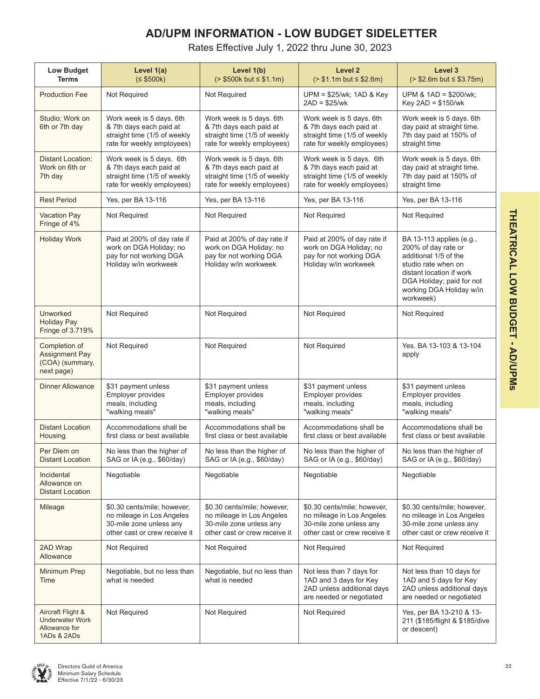## **AD/UPM INFORMATION - LOW BUDGET SIDELETTER**

Rates Effective July 1, 2022 thru June 30, 2023

| <b>Low Budget</b><br><b>Terms</b>                                           | Level 1(a)<br>(5500k)                                                                                                | Level 1(b)<br>$(> $500k$ but $\le $1.1m)$                                                                                                                                                                                | Level <sub>2</sub><br>$( > $1.1m$ but $\leq $2.6m)$                                                                  | Level 3<br>$(> $2.6m$ but $\leq $3.75m)$                                                                             |  |  |
|-----------------------------------------------------------------------------|----------------------------------------------------------------------------------------------------------------------|--------------------------------------------------------------------------------------------------------------------------------------------------------------------------------------------------------------------------|----------------------------------------------------------------------------------------------------------------------|----------------------------------------------------------------------------------------------------------------------|--|--|
| <b>Production Fee</b>                                                       | Not Required                                                                                                         | Not Required                                                                                                                                                                                                             | $UPM = $25/wk$ ; 1AD & Key<br>$2AD = $25/wk$                                                                         | UPM & 1AD = \$200/wk;<br>Key 2AD = \$150/wk                                                                          |  |  |
| Studio: Work on<br>6th or 7th day                                           | Work week is 5 days. 6th<br>& 7th days each paid at<br>straight time (1/5 of weekly<br>rate for weekly employees)    | Work week is 5 days. 6th<br>& 7th days each paid at<br>straight time (1/5 of weekly<br>rate for weekly employees)                                                                                                        | Work week is 5 days. 6th<br>& 7th days each paid at<br>straight time (1/5 of weekly<br>rate for weekly employees)    | Work week is 5 days. 6th<br>day paid at straight time.<br>7th day paid at 150% of<br>straight time                   |  |  |
| <b>Distant Location:</b><br>Work on 6th or<br>7th day                       | Work week is 5 days. 6th<br>& 7th days each paid at<br>straight time (1/5 of weekly<br>rate for weekly employees)    | Work week is 5 days. 6th<br>& 7th days each paid at<br>straight time (1/5 of weekly<br>rate for weekly employees)                                                                                                        | Work week is 5 days. 6th<br>& 7th days each paid at<br>straight time (1/5 of weekly<br>rate for weekly employees)    | Work week is 5 days. 6th<br>day paid at straight time.<br>7th day paid at 150% of<br>straight time                   |  |  |
| <b>Rest Period</b>                                                          | Yes, per BA 13-116                                                                                                   | Yes, per BA 13-116                                                                                                                                                                                                       | Yes, per BA 13-116                                                                                                   | Yes, per BA 13-116                                                                                                   |  |  |
| <b>Vacation Pay</b><br>Fringe of 4%                                         | Not Required                                                                                                         | Not Required                                                                                                                                                                                                             | Not Required                                                                                                         | Not Required                                                                                                         |  |  |
| <b>Holiday Work</b>                                                         | Paid at 200% of day rate if<br>work on DGA Holiday; no<br>pay for not working DGA<br>Holiday w/in workweek           | Paid at 200% of day rate if<br>Paid at 200% of day rate if<br>work on DGA Holiday; no<br>work on DGA Holiday; no<br>pay for not working DGA<br>pay for not working DGA<br>Holiday w/in workweek<br>Holiday w/in workweek |                                                                                                                      |                                                                                                                      |  |  |
| Unworked<br><b>Holiday Pay</b><br>Fringe of 3.719%                          | Not Required                                                                                                         | Not Required                                                                                                                                                                                                             | Not Required                                                                                                         | Not Required                                                                                                         |  |  |
| Completion of<br>Assignment Pay<br>(COA) (summary,<br>next page)            | Not Required                                                                                                         | Not Required                                                                                                                                                                                                             | Not Required                                                                                                         | Yes. BA 13-103 & 13-104<br>apply                                                                                     |  |  |
| <b>Dinner Allowance</b>                                                     | \$31 payment unless<br>Employer provides<br>meals, including<br>"walking meals"                                      | \$31 payment unless<br>Employer provides<br>meals, including<br>"walking meals"                                                                                                                                          | \$31 payment unless<br>Employer provides<br>meals, including<br>"walking meals"                                      | \$31 payment unless<br>Employer provides<br>meals, including<br>"walking meals"                                      |  |  |
| <b>Distant Location</b><br>Housing                                          | Accommodations shall be<br>first class or best available                                                             | Accommodations shall be<br>first class or best available                                                                                                                                                                 | Accommodations shall be<br>first class or best available                                                             | Accommodations shall be<br>first class or best available                                                             |  |  |
| Per Diem on<br><b>Distant Location</b>                                      | No less than the higher of<br>SAG or IA (e.g., \$60/day)                                                             | No less than the higher of<br>SAG or IA (e.g., \$60/day)                                                                                                                                                                 | No less than the higher of<br>SAG or IA (e.g., \$60/day)                                                             | No less than the higher of<br>SAG or IA (e.g., \$60/day)                                                             |  |  |
| Incidental<br>Allowance on<br>Distant Location                              | Negotiable                                                                                                           | Negotiable                                                                                                                                                                                                               | Negotiable                                                                                                           | Negotiable                                                                                                           |  |  |
| Mileage                                                                     | \$0.30 cents/mile; however,<br>no mileage in Los Angeles<br>30-mile zone unless any<br>other cast or crew receive it | \$0.30 cents/mile; however,<br>no mileage in Los Angeles<br>30-mile zone unless any<br>other cast or crew receive it                                                                                                     | \$0.30 cents/mile; however,<br>no mileage in Los Angeles<br>30-mile zone unless any<br>other cast or crew receive it | \$0.30 cents/mile; however,<br>no mileage in Los Angeles<br>30-mile zone unless any<br>other cast or crew receive it |  |  |
| 2AD Wrap<br>Allowance                                                       | Not Required                                                                                                         | Not Required                                                                                                                                                                                                             | Not Required                                                                                                         | Not Required                                                                                                         |  |  |
| Minimum Prep<br>Time                                                        | Negotiable, but no less than<br>what is needed                                                                       | Negotiable, but no less than<br>what is needed                                                                                                                                                                           | Not less than 7 days for<br>1AD and 3 days for Key<br>2AD unless additional days<br>are needed or negotiated         | Not less than 10 days for<br>1AD and 5 days for Key<br>2AD unless additional days<br>are needed or negotiated        |  |  |
| Aircraft Flight &<br><b>Underwater Work</b><br>Allowance for<br>1ADs & 2ADs | Not Required                                                                                                         | Not Required                                                                                                                                                                                                             | Not Required                                                                                                         | Yes, per BA 13-210 & 13-<br>211 (\$185/flight & \$185/dive<br>or descent)                                            |  |  |

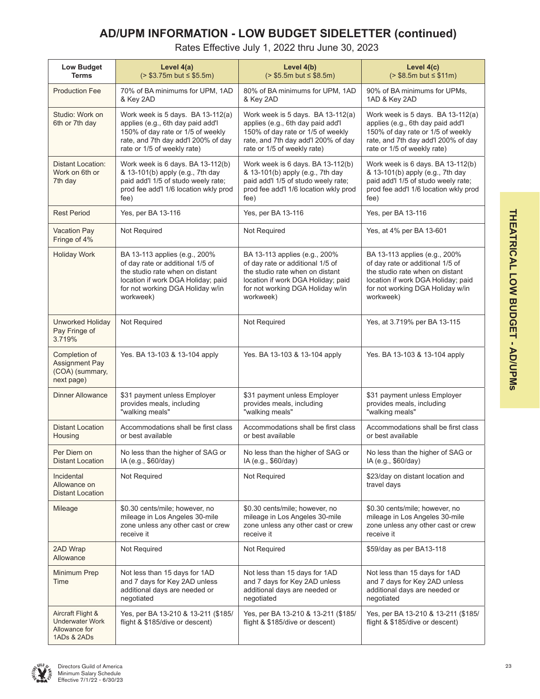## **AD/UPM INFORMATION - LOW BUDGET SIDELETTER (continued)**

Rates Effective July 1, 2022 thru June 30, 2023

| <b>Low Budget</b><br><b>Terms</b>                                    | Level 4(a)<br>$(> $3.75m$ but $\leq $5.5m)$                                                                                                                                                 | Level 4(b)<br>$( > $5.5m$ but $\leq $8.5m)$                                                                                                                                                 | Level 4(c)<br>$( > $8.5m$ but $\leq $11m)$                                                                                                                                                  |  |  |  |
|----------------------------------------------------------------------|---------------------------------------------------------------------------------------------------------------------------------------------------------------------------------------------|---------------------------------------------------------------------------------------------------------------------------------------------------------------------------------------------|---------------------------------------------------------------------------------------------------------------------------------------------------------------------------------------------|--|--|--|
| <b>Production Fee</b>                                                | 70% of BA minimums for UPM, 1AD<br>& Key 2AD                                                                                                                                                | 80% of BA minimums for UPM, 1AD<br>& Key 2AD                                                                                                                                                | 90% of BA minimums for UPMs,<br>1AD & Key 2AD                                                                                                                                               |  |  |  |
| Studio: Work on<br>6th or 7th day                                    | Work week is 5 days. BA 13-112(a)<br>applies (e.g., 6th day paid add'l<br>150% of day rate or 1/5 of weekly<br>rate, and 7th day add'l 200% of day<br>rate or 1/5 of weekly rate)           | Work week is 5 days. BA 13-112(a)<br>applies (e.g., 6th day paid add'l<br>150% of day rate or 1/5 of weekly<br>rate, and 7th day add'l 200% of day<br>rate or 1/5 of weekly rate)           | Work week is 5 days. BA 13-112(a)<br>applies (e.g., 6th day paid add'l<br>150% of day rate or 1/5 of weekly<br>rate, and 7th day add'l 200% of day<br>rate or 1/5 of weekly rate)           |  |  |  |
| <b>Distant Location:</b><br>Work on 6th or<br>7th day                | Work week is 6 days. BA 13-112(b)<br>& 13-101(b) apply (e.g., 7th day<br>paid add'l 1/5 of studo weely rate;<br>prod fee add'l 1/6 location wkly prod<br>fee)                               | Work week is 6 days. BA 13-112(b)<br>& 13-101(b) apply (e.g., 7th day<br>paid add'l 1/5 of studo weely rate;<br>prod fee add'l 1/6 location wkly prod<br>fee)                               | Work week is 6 days. BA 13-112(b)<br>& 13-101(b) apply (e.g., 7th day<br>paid add'l 1/5 of studo weely rate;<br>prod fee add'l 1/6 location wkly prod<br>fee)                               |  |  |  |
| <b>Rest Period</b>                                                   | Yes, per BA 13-116                                                                                                                                                                          | Yes, per BA 13-116                                                                                                                                                                          | Yes, per BA 13-116                                                                                                                                                                          |  |  |  |
| Vacation Pay<br>Fringe of 4%                                         | Not Required                                                                                                                                                                                | Not Required                                                                                                                                                                                | Yes, at 4% per BA 13-601                                                                                                                                                                    |  |  |  |
| <b>Holiday Work</b>                                                  | BA 13-113 applies (e.g., 200%<br>of day rate or additional 1/5 of<br>the studio rate when on distant<br>location if work DGA Holiday; paid<br>for not working DGA Holiday w/in<br>workweek) | BA 13-113 applies (e.g., 200%<br>of day rate or additional 1/5 of<br>the studio rate when on distant<br>location if work DGA Holiday; paid<br>for not working DGA Holiday w/in<br>workweek) | BA 13-113 applies (e.g., 200%<br>of day rate or additional 1/5 of<br>the studio rate when on distant<br>location if work DGA Holiday; paid<br>for not working DGA Holiday w/in<br>workweek) |  |  |  |
| Unworked Holiday<br>Pay Fringe of<br>3.719%                          | Not Required                                                                                                                                                                                | Not Required                                                                                                                                                                                | Yes, at 3.719% per BA 13-115                                                                                                                                                                |  |  |  |
| Completion of<br>Assignment Pay<br>(COA) (summary,<br>next page)     | Yes. BA 13-103 & 13-104 apply                                                                                                                                                               | Yes. BA 13-103 & 13-104 apply                                                                                                                                                               | Yes. BA 13-103 & 13-104 apply                                                                                                                                                               |  |  |  |
| Dinner Allowance                                                     | \$31 payment unless Employer<br>provides meals, including<br>"walking meals"                                                                                                                | \$31 payment unless Employer<br>provides meals, including<br>"walking meals"                                                                                                                | \$31 payment unless Employer<br>provides meals, including<br>"walking meals"                                                                                                                |  |  |  |
| <b>Distant Location</b><br>Housing                                   | Accommodations shall be first class<br>or best available                                                                                                                                    | Accommodations shall be first class<br>or best available                                                                                                                                    | Accommodations shall be first class<br>or best available                                                                                                                                    |  |  |  |
| Per Diem on<br><b>Distant Location</b>                               | No less than the higher of SAG or<br>IA (e.g., \$60/day)                                                                                                                                    | No less than the higher of SAG or<br>IA (e.g., \$60/day)                                                                                                                                    | No less than the higher of SAG or<br>IA (e.g., \$60/day)                                                                                                                                    |  |  |  |
| Incidental<br>Allowance on<br><b>Distant Location</b>                | Not Required                                                                                                                                                                                | Not Required                                                                                                                                                                                | \$23/day on distant location and<br>travel days                                                                                                                                             |  |  |  |
| Mileage                                                              | \$0.30 cents/mile; however, no<br>mileage in Los Angeles 30-mile<br>zone unless any other cast or crew<br>receive it                                                                        | \$0.30 cents/mile; however, no<br>mileage in Los Angeles 30-mile<br>zone unless any other cast or crew<br>receive it                                                                        | \$0.30 cents/mile; however, no<br>mileage in Los Angeles 30-mile<br>zone unless any other cast or crew<br>receive it                                                                        |  |  |  |
| 2AD Wrap<br>Allowance                                                | Not Required                                                                                                                                                                                | Not Required                                                                                                                                                                                | \$59/day as per BA13-118                                                                                                                                                                    |  |  |  |
| Minimum Prep<br>Time                                                 | Not less than 15 days for 1AD<br>and 7 days for Key 2AD unless<br>additional days are needed or<br>negotiated                                                                               | Not less than 15 days for 1AD<br>and 7 days for Key 2AD unless<br>additional days are needed or<br>negotiated                                                                               | Not less than 15 days for 1AD<br>and 7 days for Key 2AD unless<br>additional days are needed or<br>negotiated                                                                               |  |  |  |
| Aircraft Flight &<br>Underwater Work<br>Allowance for<br>1ADs & 2ADs | Yes, per BA 13-210 & 13-211 (\$185/<br>flight & \$185/dive or descent)                                                                                                                      | Yes, per BA 13-210 & 13-211 (\$185/<br>flight & \$185/dive or descent)                                                                                                                      | Yes, per BA 13-210 & 13-211 (\$185/<br>flight & \$185/dive or descent)                                                                                                                      |  |  |  |

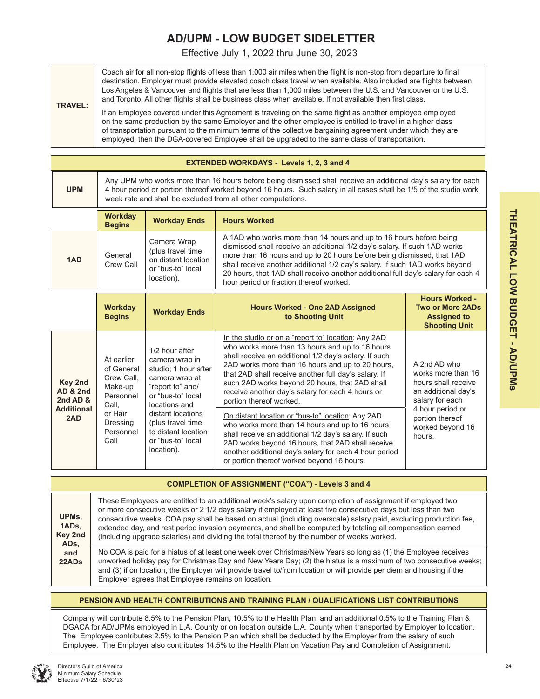## **AD/UPM - LOW BUDGET SIDELETTER**

Effective July 1, 2022 thru June 30, 2023

| <b>TRAVEL:</b> | Coach air for all non-stop flights of less than 1,000 air miles when the flight is non-stop from departure to final<br>destination. Employer must provide elevated coach class travel when available. Also included are flights between<br>Los Angeles & Vancouver and flights that are less than 1,000 miles between the U.S. and Vancouver or the U.S.<br>and Toronto. All other flights shall be business class when available. If not available then first class. |
|----------------|-----------------------------------------------------------------------------------------------------------------------------------------------------------------------------------------------------------------------------------------------------------------------------------------------------------------------------------------------------------------------------------------------------------------------------------------------------------------------|
|                | If an Employee covered under this Agreement is traveling on the same flight as another employee employed<br>on the same production by the same Employer and the other employee is entitled to travel in a higher class<br>of transportation pursuant to the minimum terms of the collective bargaining agreement under which they are<br>employed, then the DGA-covered Employee shall be upgraded to the same class of transportation.                               |

|            | <b>EXTENDED WORKDAYS - Levels 1, 2, 3 and 4</b>                                                                                                                                                                                                                                                    |                     |                     |  |  |  |  |  |  |
|------------|----------------------------------------------------------------------------------------------------------------------------------------------------------------------------------------------------------------------------------------------------------------------------------------------------|---------------------|---------------------|--|--|--|--|--|--|
| <b>UPM</b> | Any UPM who works more than 16 hours before being dismissed shall receive an additional day's salary for each<br>4 hour period or portion thereof worked beyond 16 hours. Such salary in all cases shall be 1/5 of the studio work<br>week rate and shall be excluded from all other computations. |                     |                     |  |  |  |  |  |  |
|            | <b>Workday</b><br><b>Begins</b>                                                                                                                                                                                                                                                                    | <b>Workday Ends</b> | <b>Hours Worked</b> |  |  |  |  |  |  |

|     | <b>Degins</b>        |                                                                                             |                                                                                                                                                                                                                                                                                                                                                                                                                                         |
|-----|----------------------|---------------------------------------------------------------------------------------------|-----------------------------------------------------------------------------------------------------------------------------------------------------------------------------------------------------------------------------------------------------------------------------------------------------------------------------------------------------------------------------------------------------------------------------------------|
| 1AD | General<br>Crew Call | Camera Wrap<br>(plus travel time)<br>on distant location<br>or "bus-to" local<br>location). | A 1AD who works more than 14 hours and up to 16 hours before being<br>dismissed shall receive an additional 1/2 day's salary. If such 1AD works<br>more than 16 hours and up to 20 hours before being dismissed, that 1AD<br>shall receive another additional 1/2 day's salary. If such 1AD works beyond<br>20 hours, that 1AD shall receive another additional full day's salary for each 4<br>hour period or fraction thereof worked. |

|                                                                        | <b>Workday</b><br><b>Begins</b>                                                                                     | <b>Workday Ends</b>                                                                                                                                                                                                                       | <b>Hours Worked - One 2AD Assigned</b><br>to Shooting Unit                                                                                                                                                                                                                                                                                                                                                                                                                                                                                                                                                                                                                                                                                 | <b>Hours Worked -</b><br><b>Two or More 2ADs</b><br><b>Assigned to</b><br><b>Shooting Unit</b>                                                                           |
|------------------------------------------------------------------------|---------------------------------------------------------------------------------------------------------------------|-------------------------------------------------------------------------------------------------------------------------------------------------------------------------------------------------------------------------------------------|--------------------------------------------------------------------------------------------------------------------------------------------------------------------------------------------------------------------------------------------------------------------------------------------------------------------------------------------------------------------------------------------------------------------------------------------------------------------------------------------------------------------------------------------------------------------------------------------------------------------------------------------------------------------------------------------------------------------------------------------|--------------------------------------------------------------------------------------------------------------------------------------------------------------------------|
| Key 2nd<br><b>AD &amp; 2nd</b><br>2nd AD &<br><b>Additional</b><br>2AD | At earlier<br>of General<br>Crew Call.<br>Make-up<br>Personnel<br>Call,<br>or Hair<br>Dressing<br>Personnel<br>Call | 1/2 hour after<br>camera wrap in<br>studio: 1 hour after<br>camera wrap at<br>"report to" and/<br>or "bus-to" local<br>locations and<br>distant locations<br>(plus travel time)<br>to distant location<br>or "bus-to" local<br>location). | In the studio or on a "report to" location: Any 2AD<br>who works more than 13 hours and up to 16 hours<br>shall receive an additional 1/2 day's salary. If such<br>2AD works more than 16 hours and up to 20 hours,<br>that 2AD shall receive another full day's salary. If<br>such 2AD works beyond 20 hours, that 2AD shall<br>receive another day's salary for each 4 hours or<br>portion thereof worked.<br>On distant location or "bus-to" location: Any 2AD<br>who works more than 14 hours and up to 16 hours<br>shall receive an additional 1/2 day's salary. If such<br>2AD works beyond 16 hours, that 2AD shall receive<br>another additional day's salary for each 4 hour period<br>or portion thereof worked beyond 16 hours. | A 2nd AD who<br>works more than 16<br>hours shall receive<br>an additional day's<br>salary for each<br>4 hour period or<br>portion thereof<br>worked beyond 16<br>hours. |

|                           | <b>COMPLETION OF ASSIGNMENT ("COA") - Levels 3 and 4</b>                                                                                                                                                                                                                                                                                                                                                                                                                                                                                                 |  |  |  |  |  |  |  |  |  |
|---------------------------|----------------------------------------------------------------------------------------------------------------------------------------------------------------------------------------------------------------------------------------------------------------------------------------------------------------------------------------------------------------------------------------------------------------------------------------------------------------------------------------------------------------------------------------------------------|--|--|--|--|--|--|--|--|--|
| UPMs,<br>1ADs,<br>Key 2nd | These Employees are entitled to an additional week's salary upon completion of assignment if employed two<br>or more consecutive weeks or 2 1/2 days salary if employed at least five consecutive days but less than two<br>consecutive weeks. COA pay shall be based on actual (including overscale) salary paid, excluding production fee,<br>extended day, and rest period invasion payments, and shall be computed by totaling all compensation earned<br>(including upgrade salaries) and dividing the total thereof by the number of weeks worked. |  |  |  |  |  |  |  |  |  |
| ADs.<br>and<br>22ADs      | No COA is paid for a hiatus of at least one week over Christmas/New Years so long as (1) the Employee receives<br>unworked holiday pay for Christmas Day and New Years Day; (2) the hiatus is a maximum of two consecutive weeks;<br>and (3) if on location, the Employer will provide travel to/from location or will provide per diem and housing if the<br>Employer agrees that Employee remains on location.                                                                                                                                         |  |  |  |  |  |  |  |  |  |

#### **PENSION AND HEALTH CONTRIBUTIONS AND TRAINING PLAN / QUALIFICATIONS LIST CONTRIBUTIONS**

Company will contribute 8.5% to the Pension Plan, 10.5% to the Health Plan; and an additional 0.5% to the Training Plan & DGACA for AD/UPMs employed in L.A. County or on location outside L.A. County when transported by Employer to location. The Employee contributes 2.5% to the Pension Plan which shall be deducted by the Employer from the salary of such Employee. The Employer also contributes 14.5% to the Health Plan on Vacation Pay and Completion of Assignment.

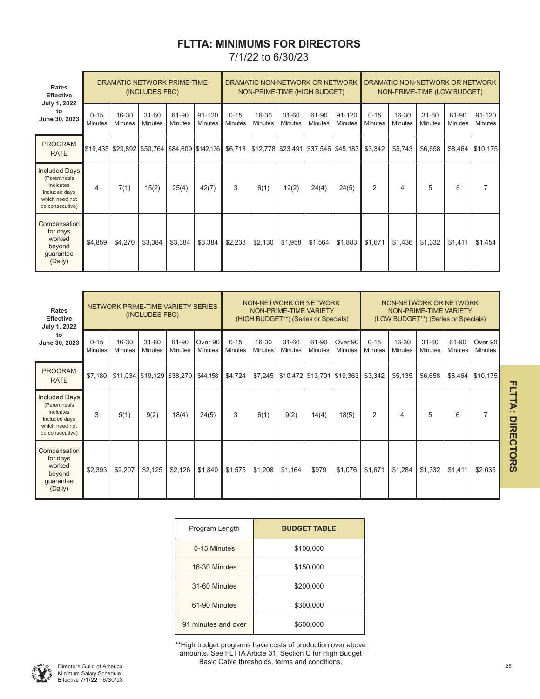## **FLTTA: MINIMUMS FOR DIRECTORS** 7/1/22 to 6/30/23

| Rates<br><b>Effective</b>                                                                               |                            |                         | (INCLUDES FBC)              | DRAMATIC NETWORK PRIME-TIME |                              |                            | DRAMATIC NON-NETWORK OR NETWORK<br>NON-PRIME-TIME (HIGH BUDGET) |                             |                                                                                                     |                              |                            | DRAMATIC NON-NETWORK OR NETWORK<br>NON-PRIME-TIME (LOW BUDGET) |                             |                         |                          |
|---------------------------------------------------------------------------------------------------------|----------------------------|-------------------------|-----------------------------|-----------------------------|------------------------------|----------------------------|-----------------------------------------------------------------|-----------------------------|-----------------------------------------------------------------------------------------------------|------------------------------|----------------------------|----------------------------------------------------------------|-----------------------------|-------------------------|--------------------------|
| July 1, 2022<br>to<br>June 30, 2023                                                                     | $0 - 15$<br><b>Minutes</b> | 16-30<br><b>Minutes</b> | $31 - 60$<br><b>Minutes</b> | 61-90<br><b>Minutes</b>     | $91 - 120$<br><b>Minutes</b> | $0 - 15$<br><b>Minutes</b> | 16-30<br><b>Minutes</b>                                         | $31 - 60$<br><b>Minutes</b> | 61-90<br><b>Minutes</b>                                                                             | $91 - 120$<br><b>Minutes</b> | $0 - 15$<br><b>Minutes</b> | 16-30<br><b>Minutes</b>                                        | $31 - 60$<br><b>Minutes</b> | 61-90<br><b>Minutes</b> | 91-120<br><b>Minutes</b> |
| <b>PROGRAM</b><br><b>RATE</b>                                                                           |                            |                         |                             |                             |                              |                            |                                                                 |                             | \$19,435  \$29,892  \$50,764  \$84,609  \$142,136   \$6,713  \$12,778  \$23,491  \$37,546  \$45,183 |                              | \$3,342                    | \$5,743                                                        | \$6,658                     | \$8,464                 | \$10,175                 |
| <b>Included Days</b><br>(Parenthesis<br>indicates<br>included days<br>which need not<br>be consecutive) | 4                          | 7(1)                    | 15(2)                       | 25(4)                       | 42(7)                        | 3                          | 6(1)                                                            | 12(2)                       | 24(4)                                                                                               | 24(5)                        | 2                          | 4                                                              | 5                           | 6                       |                          |
| Compensation<br>for days<br>worked<br>beyond<br>guarantee<br>(Daily)                                    | \$4,859                    | \$4,270                 | \$3,384                     | \$3,384                     | \$3,384                      | \$2,238                    | \$2,130                                                         | \$1,958                     | \$1,564                                                                                             | \$1,883                      | \$1,671                    | \$1,436                                                        | \$1,332                     | \$1,411                 | \$1,454                  |

| Rates<br><b>Effective</b><br>July 1, 2022                                                               |                            |                         | NETWORK PRIME-TIME VARIETY SERIES<br>(INCLUDES FBC) |                         |                           |                            | NON-NETWORK OR NETWORK<br>NON-PRIME-TIME VARIETY<br>(HIGH BUDGET**) (Series or Specials) |                             |                         |                            |                            | NON-NETWORK OR NETWORK<br>NON-PRIME-TIME VARIETY<br>(LOW BUDGET**) (Series or Specials) |                             |                         |                           |  |
|---------------------------------------------------------------------------------------------------------|----------------------------|-------------------------|-----------------------------------------------------|-------------------------|---------------------------|----------------------------|------------------------------------------------------------------------------------------|-----------------------------|-------------------------|----------------------------|----------------------------|-----------------------------------------------------------------------------------------|-----------------------------|-------------------------|---------------------------|--|
| to<br>June 30, 2023                                                                                     | $0 - 15$<br><b>Minutes</b> | 16-30<br><b>Minutes</b> | $31 - 60$<br><b>Minutes</b>                         | 61-90<br><b>Minutes</b> | Over 90<br><b>Minutes</b> | $0 - 15$<br><b>Minutes</b> | 16-30<br><b>Minutes</b>                                                                  | $31 - 60$<br><b>Minutes</b> | 61-90<br><b>Minutes</b> | Over 90<br><b>Minutes</b>  | $0 - 15$<br><b>Minutes</b> | 16-30<br><b>Minutes</b>                                                                 | $31 - 60$<br><b>Minutes</b> | 61-90<br><b>Minutes</b> | Over 90<br><b>Minutes</b> |  |
| <b>PROGRAM</b><br><b>RATE</b>                                                                           | \$7,180                    |                         | \$11,034   \$19,129   \$38,270                      |                         | \$44,158                  | \$4,724                    | \$7,245                                                                                  |                             |                         | \$10,472 \$13,701 \$19,363 | \$3,342                    | \$5,135                                                                                 | \$6,658                     | \$8,464                 | \$10,175                  |  |
| <b>Included Days</b><br>(Parenthesis<br>indicates<br>included days<br>which need not<br>be consecutive) | 3                          | 5(1)                    | 9(2)                                                | 18(4)                   | 24(5)                     | 3                          | 6(1)                                                                                     | 9(2)                        | 14(4)                   | 18(5)                      | $\overline{2}$             | 4                                                                                       | 5                           | 6                       | 7                         |  |
| Compensation<br>for days<br>worked<br>beyond<br>guarantee<br>(Daily)                                    | \$2,393                    | \$2,207                 | \$2,125                                             | \$2,126                 | \$1,840                   | \$1,575                    | \$1,208                                                                                  | \$1,164                     | \$979                   | \$1,076                    | \$1,671                    | \$1,284                                                                                 | \$1,332                     | \$1,411                 | \$2,035                   |  |

| Program Length      | <b>BUDGET TABLE</b> |
|---------------------|---------------------|
| 0-15 Minutes        | \$100,000           |
| 16-30 Minutes       | \$150,000           |
| 31-60 Minutes       | \$200,000           |
| 61-90 Minutes       | \$300,000           |
| 91 minutes and over | \$600,000           |

\*\*High budget programs have costs of production over above amounts. See FLTTA Article 31, Section C for High Budget Basic Cable thresholds, terms and conditions.



FLTTA: DIRECTORS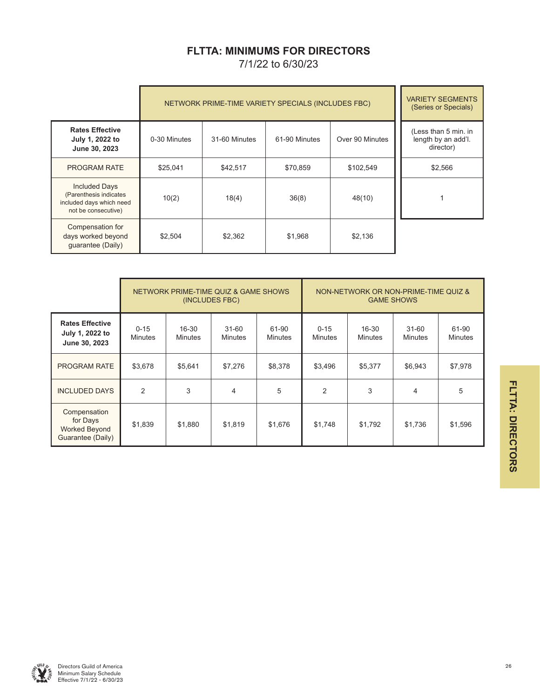## **FLTTA: MINIMUMS FOR DIRECTORS**

7/1/22 to 6/30/23

|                                                                                                   | NETWORK PRIME-TIME VARIETY SPECIALS (INCLUDES FBC) | <b>VARIETY SEGMENTS</b><br>(Series or Specials) |               |                 |                                                          |
|---------------------------------------------------------------------------------------------------|----------------------------------------------------|-------------------------------------------------|---------------|-----------------|----------------------------------------------------------|
| <b>Rates Effective</b><br>July 1, 2022 to<br>June 30, 2023                                        | 0-30 Minutes                                       | 31-60 Minutes                                   | 61-90 Minutes | Over 90 Minutes | (Less than 5 min. in<br>length by an add'l.<br>director) |
| <b>PROGRAM RATE</b>                                                                               | \$25,041                                           | \$42,517                                        | \$70.859      | \$102,549       | \$2,566                                                  |
| <b>Included Days</b><br>(Parenthesis indicates<br>included days which need<br>not be consecutive) | 10(2)                                              | 18(4)                                           | 36(8)         | 48(10)          |                                                          |
| Compensation for<br>days worked beyond<br>guarantee (Daily)                                       | \$2,504                                            | \$2,362                                         | \$1,968       | \$2,136         |                                                          |

|                                                                |                            |                         | NETWORK PRIME-TIME QUIZ & GAME SHOWS<br>(INCLUDES FBC) |                         | NON-NETWORK OR NON-PRIME-TIME QUIZ &<br><b>GAME SHOWS</b> |                         |                             |                         |
|----------------------------------------------------------------|----------------------------|-------------------------|--------------------------------------------------------|-------------------------|-----------------------------------------------------------|-------------------------|-----------------------------|-------------------------|
| <b>Rates Effective</b><br>July 1, 2022 to<br>June 30, 2023     | $0 - 15$<br><b>Minutes</b> | 16-30<br><b>Minutes</b> | $31 - 60$<br><b>Minutes</b>                            | 61-90<br><b>Minutes</b> | $0 - 15$<br><b>Minutes</b>                                | 16-30<br><b>Minutes</b> | $31 - 60$<br><b>Minutes</b> | 61-90<br><b>Minutes</b> |
| <b>PROGRAM RATE</b>                                            | \$3,678                    | \$5,641                 | \$7,276                                                | \$8,378                 | \$3,496                                                   | \$5,377                 | \$6,943                     | \$7,978                 |
| <b>INCLUDED DAYS</b>                                           | $\overline{2}$             | 3                       | $\overline{4}$                                         | 5                       | $\overline{2}$                                            | 3                       | 4                           | 5                       |
| Compensation<br>for Days<br>Worked Beyond<br>Guarantee (Daily) | \$1,839                    | \$1,880                 | \$1,819                                                | \$1,676                 | \$1,748                                                   | \$1,792                 | \$1,736                     | \$1,596                 |

FLTTA: DIRECTORS **FLTTA: DIRECTORS**

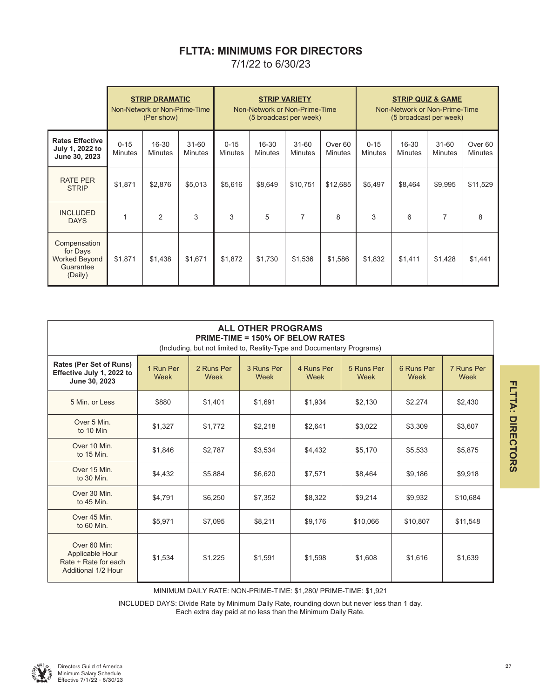## **FLTTA: MINIMUMS FOR DIRECTORS**

7/1/22 to 6/30/23

|                                                                   |                            | <b>STRIP DRAMATIC</b><br>Non-Network or Non-Prime-Time<br>(Per show) |                      | <b>STRIP VARIETY</b><br>Non-Network or Non-Prime-Time<br>(5 broadcast per week) |                             |                             |                           |                            | Non-Network or Non-Prime-Time<br>(5 broadcast per week) | <b>STRIP QUIZ &amp; GAME</b> |                                      |
|-------------------------------------------------------------------|----------------------------|----------------------------------------------------------------------|----------------------|---------------------------------------------------------------------------------|-----------------------------|-----------------------------|---------------------------|----------------------------|---------------------------------------------------------|------------------------------|--------------------------------------|
| <b>Rates Effective</b><br>July 1, 2022 to<br>June 30, 2023        | $0 - 15$<br><b>Minutes</b> | 16-30<br>Minutes                                                     | $31 - 60$<br>Minutes | $0 - 15$<br><b>Minutes</b>                                                      | $16 - 30$<br><b>Minutes</b> | $31 - 60$<br><b>Minutes</b> | Over 60<br><b>Minutes</b> | $0 - 15$<br><b>Minutes</b> | $16 - 30$<br><b>Minutes</b>                             | $31 - 60$<br><b>Minutes</b>  | Over <sub>60</sub><br><b>Minutes</b> |
| <b>RATE PER</b><br><b>STRIP</b>                                   | \$1,871                    | \$2,876                                                              | \$5,013              | \$5,616                                                                         | \$8,649                     | \$10,751                    | \$12,685                  | \$5,497                    | \$8,464                                                 | \$9,995                      | \$11,529                             |
| <b>INCLUDED</b><br><b>DAYS</b>                                    |                            | 2                                                                    | 3                    | 3                                                                               | 5                           | 7                           | 8                         | 3                          | 6                                                       | 7                            | 8                                    |
| Compensation<br>for Days<br>Worked Beyond<br>Guarantee<br>(Daily) | \$1,871                    | \$1,438                                                              | \$1,671              | \$1,872                                                                         | \$1,730                     | \$1,536                     | \$1,586                   | \$1,832                    | \$1,411                                                 | \$1,428                      | \$1,441                              |

| <b>ALL OTHER PROGRAMS</b><br><b>PRIME-TIME = 150% OF BELOW RATES</b><br>(Including, but not limited to, Reality-Type and Documentary Programs) |                   |                    |                    |                    |                    |                    |                    |
|------------------------------------------------------------------------------------------------------------------------------------------------|-------------------|--------------------|--------------------|--------------------|--------------------|--------------------|--------------------|
| Rates (Per Set of Runs)<br>Effective July 1, 2022 to<br>June 30, 2023                                                                          | 1 Run Per<br>Week | 2 Runs Per<br>Week | 3 Runs Per<br>Week | 4 Runs Per<br>Week | 5 Runs Per<br>Week | 6 Runs Per<br>Week | 7 Runs Per<br>Week |
| 5 Min. or Less                                                                                                                                 | \$880             | \$1,401            | \$1,691            | \$1,934            | \$2,130            | \$2,274            | \$2,430            |
| Over 5 Min.<br>to 10 Min                                                                                                                       | \$1,327           | \$1,772            | \$2,218            | \$2,641            | \$3,022            | \$3,309            | \$3,607            |
| Over 10 Min.<br>to 15 Min.                                                                                                                     | \$1,846           | \$2,787            | \$3,534            | \$4,432            | \$5,170            | \$5,533            | \$5,875            |
| Over 15 Min.<br>to 30 Min.                                                                                                                     | \$4,432           | \$5,884            | \$6,620            | \$7,571            | \$8,464            | \$9,186            | \$9,918            |
| Over 30 Min.<br>to 45 Min.                                                                                                                     | \$4,791           | \$6,250            | \$7,352            | \$8,322            | \$9,214            | \$9,932            | \$10,684           |
| Over 45 Min.<br>to 60 Min.                                                                                                                     | \$5,971           | \$7,095            | \$8,211            | \$9,176            | \$10,066           | \$10,807           | \$11,548           |
| Over 60 Min:<br>Applicable Hour<br>Rate + Rate for each<br>Additional 1/2 Hour                                                                 | \$1,534           | \$1,225            | \$1,591            | \$1,598            | \$1,608            | \$1,616            | \$1,639            |

MINIMUM DAILY RATE: NON-PRIME-TIME: \$1,280/ PRIME-TIME: \$1,921

INCLUDED DAYS: Divide Rate by Minimum Daily Rate, rounding down but never less than 1 day. Each extra day paid at no less than the Minimum Daily Rate.



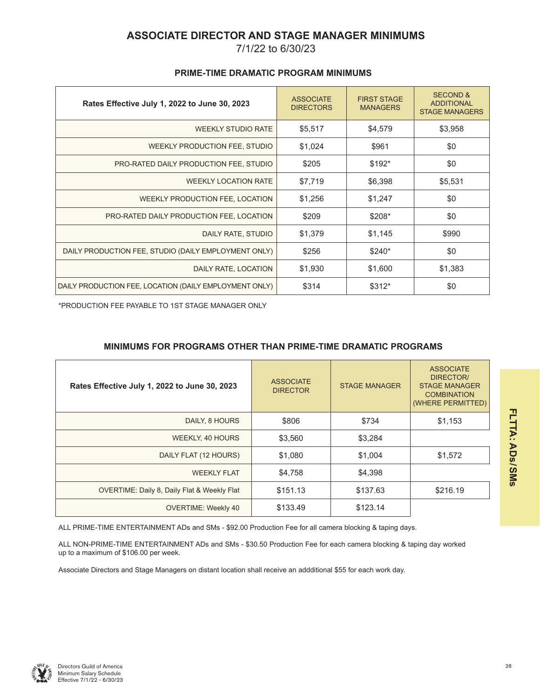## **ASSOCIATE DIRECTOR AND STAGE MANAGER MINIMUMS**

7/1/22 to 6/30/23

| Rates Effective July 1, 2022 to June 30, 2023          | <b>ASSOCIATE</b><br><b>DIRECTORS</b> | <b>FIRST STAGE</b><br><b>MANAGERS</b> | <b>SECOND &amp;</b><br><b>ADDITIONAL</b><br><b>STAGE MANAGERS</b> |
|--------------------------------------------------------|--------------------------------------|---------------------------------------|-------------------------------------------------------------------|
| <b>WEEKLY STUDIO RATE</b>                              | \$5,517                              | \$4,579                               | \$3,958                                                           |
| WEEKLY PRODUCTION FEE, STUDIO                          | \$1,024                              | \$961                                 | \$0                                                               |
| PRO-RATED DAILY PRODUCTION FEE, STUDIO                 | \$205                                | $$192*$                               | \$0                                                               |
| <b>WEEKLY LOCATION RATE</b>                            | \$7,719                              | \$6,398                               | \$5,531                                                           |
| WEEKLY PRODUCTION FEE, LOCATION                        | \$1,256                              | \$1,247                               | \$0                                                               |
| PRO-RATED DAILY PRODUCTION FEE, LOCATION               | \$209                                | \$208*                                | \$0                                                               |
| DAILY RATE, STUDIO                                     | \$1,379                              | \$1,145                               | \$990                                                             |
| DAILY PRODUCTION FEE, STUDIO (DAILY EMPLOYMENT ONLY)   | \$256                                | $$240*$                               | \$0                                                               |
| DAILY RATE, LOCATION                                   | \$1,930                              | \$1,600                               | \$1,383                                                           |
| DAILY PRODUCTION FEE, LOCATION (DAILY EMPLOYMENT ONLY) | \$314                                | $$312*$                               | \$0                                                               |

### **PRIME-TIME DRAMATIC PROGRAM MINIMUMS**

\*PRODUCTION FEE PAYABLE TO 1ST STAGE MANAGER ONLY

## **MINIMUMS FOR PROGRAMS OTHER THAN PRIME-TIME DRAMATIC PROGRAMS**

| Rates Effective July 1, 2022 to June 30, 2023 | <b>ASSOCIATE</b><br><b>DIRECTOR</b> | <b>STAGE MANAGER</b> | <b>ASSOCIATE</b><br>DIRECTOR/<br><b>STAGE MANAGER</b><br><b>COMBINATION</b><br>(WHERE PERMITTED) |
|-----------------------------------------------|-------------------------------------|----------------------|--------------------------------------------------------------------------------------------------|
| DAILY, 8 HOURS                                | \$806                               | \$734                | \$1,153                                                                                          |
| WEEKLY, 40 HOURS                              | \$3,560                             | \$3,284              |                                                                                                  |
| DAILY FLAT (12 HOURS)                         | \$1,080                             | \$1,004              | \$1,572                                                                                          |
| <b>WEEKLY FLAT</b>                            | \$4,758                             | \$4,398              |                                                                                                  |
| OVERTIME: Daily 8, Daily Flat & Weekly Flat   | \$151.13                            | \$137.63             | \$216.19                                                                                         |
| <b>OVERTIME: Weekly 40</b>                    | \$133.49                            | \$123.14             |                                                                                                  |

ALL PRIME-TIME ENTERTAINMENT ADs and SMs - \$92.00 Production Fee for all camera blocking & taping days.

ALL NON-PRIME-TIME ENTERTAINMENT ADs and SMs - \$30.50 Production Fee for each camera blocking & taping day worked up to a maximum of \$106.00 per week.

Associate Directors and Stage Managers on distant location shall receive an addditional \$55 for each work day.

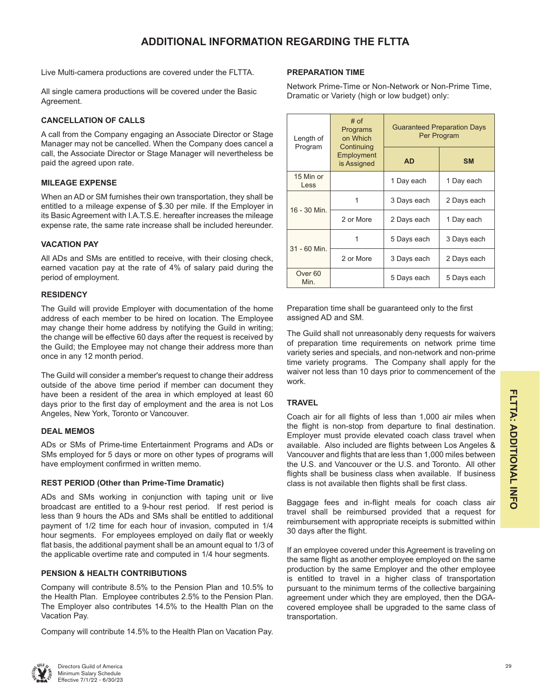## **ADDITIONAL INFORMATION REGARDING THE FLTTA**

Live Multi-camera productions are covered under the FLTTA.

All single camera productions will be covered under the Basic Agreement.

#### **CANCELLATION OF CALLS**

A call from the Company engaging an Associate Director or Stage Manager may not be cancelled. When the Company does cancel a call, the Associate Director or Stage Manager will nevertheless be paid the agreed upon rate.

#### **MILEAGE EXPENSE**

When an AD or SM furnishes their own transportation, they shall be entitled to a mileage expense of \$.30 per mile. If the Employer in its Basic Agreement with I.A.T.S.E. hereafter increases the mileage expense rate, the same rate increase shall be included hereunder.

#### **VACATION PAY**

All ADs and SMs are entitled to receive, with their closing check, earned vacation pay at the rate of 4% of salary paid during the period of employment.

#### **RESIDENCY**

The Guild will provide Employer with documentation of the home address of each member to be hired on location. The Employee may change their home address by notifying the Guild in writing; the change will be effective 60 days after the request is received by the Guild; the Employee may not change their address more than once in any 12 month period.

The Guild will consider a member's request to change their address outside of the above time period if member can document they have been a resident of the area in which employed at least 60 days prior to the first day of employment and the area is not Los Angeles, New York, Toronto or Vancouver.

#### **DEAL MEMOS**

ADs or SMs of Prime-time Entertainment Programs and ADs or SMs employed for 5 days or more on other types of programs will have employment confirmed in written memo.

#### **REST PERIOD (Other than Prime-Time Dramatic)**

ADs and SMs working in conjunction with taping unit or live broadcast are entitled to a 9-hour rest period. If rest period is less than 9 hours the ADs and SMs shall be entitled to additional payment of 1/2 time for each hour of invasion, computed in 1/4 hour segments. For employees employed on daily flat or weekly flat basis, the additional payment shall be an amount equal to 1/3 of the applicable overtime rate and computed in 1/4 hour segments.

#### **PENSION & HEALTH CONTRIBUTIONS**

Company will contribute 8.5% to the Pension Plan and 10.5% to the Health Plan. Employee contributes 2.5% to the Pension Plan. The Employer also contributes 14.5% to the Health Plan on the Vacation Pay.

Company will contribute 14.5% to the Health Plan on Vacation Pay.

#### **PREPARATION TIME**

Network Prime-Time or Non-Network or Non-Prime Time, Dramatic or Variety (high or low budget) only:

| Length of<br>Program       | $#$ of<br>Programs<br>on Which<br>Continuing | <b>Guaranteed Preparation Days</b><br>Per Program |             |  |  |
|----------------------------|----------------------------------------------|---------------------------------------------------|-------------|--|--|
|                            | Employment<br>is Assigned                    | <b>AD</b>                                         | <b>SM</b>   |  |  |
| 15 Min or<br>Less          |                                              | 1 Day each                                        | 1 Day each  |  |  |
| 16 - 30 Min.               |                                              | 3 Days each                                       | 2 Days each |  |  |
|                            | 2 or More                                    | 2 Days each                                       | 1 Day each  |  |  |
| 31 - 60 Min.               | 1                                            | 5 Days each                                       | 3 Days each |  |  |
|                            | 2 or More                                    | 3 Days each                                       | 2 Days each |  |  |
| Over <sub>60</sub><br>Min. |                                              | 5 Days each                                       | 5 Days each |  |  |

Preparation time shall be guaranteed only to the first assigned AD and SM.

The Guild shall not unreasonably deny requests for waivers of preparation time requirements on network prime time variety series and specials, and non-network and non-prime time variety programs. The Company shall apply for the waiver not less than 10 days prior to commencement of the work.

#### **TRAVEL**

Coach air for all flights of less than 1,000 air miles when the flight is non-stop from departure to final destination. Employer must provide elevated coach class travel when available. Also included are flights between Los Angeles & Vancouver and flights that are less than 1,000 miles between the U.S. and Vancouver or the U.S. and Toronto. All other flights shall be business class when available. If business class is not available then flights shall be first class.

Baggage fees and in-flight meals for coach class air travel shall be reimbursed provided that a request for reimbursement with appropriate receipts is submitted within 30 days after the flight.

If an employee covered under this Agreement is traveling on the same flight as another employee employed on the same production by the same Employer and the other employee is entitled to travel in a higher class of transportation pursuant to the minimum terms of the collective bargaining agreement under which they are employed, then the DGAcovered employee shall be upgraded to the same class of transportation.

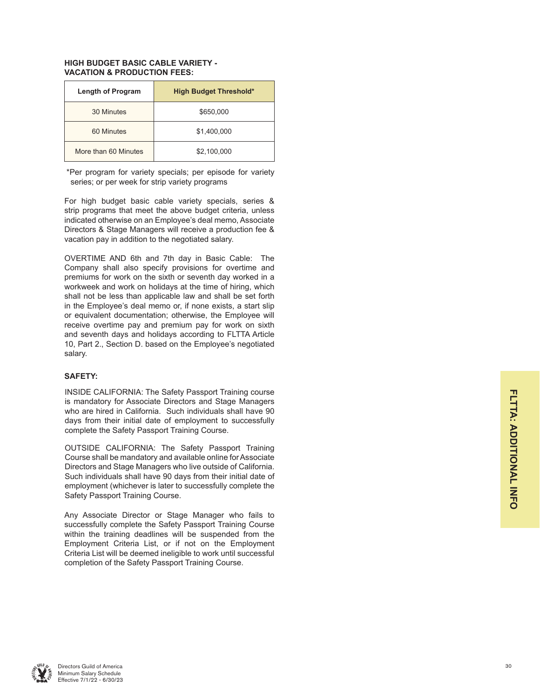#### **HIGH BUDGET BASIC CABLE VARIETY - VACATION & PRODUCTION FEES:**

| <b>Length of Program</b> | <b>High Budget Threshold*</b> |
|--------------------------|-------------------------------|
| 30 Minutes               | \$650,000                     |
| 60 Minutes               | \$1,400,000                   |
| More than 60 Minutes     | \$2,100,000                   |

\*Per program for variety specials; per episode for variety series; or per week for strip variety programs

For high budget basic cable variety specials, series & strip programs that meet the above budget criteria, unless indicated otherwise on an Employee's deal memo, Associate Directors & Stage Managers will receive a production fee & vacation pay in addition to the negotiated salary.

OVERTIME AND 6th and 7th day in Basic Cable: The Company shall also specify provisions for overtime and premiums for work on the sixth or seventh day worked in a workweek and work on holidays at the time of hiring, which shall not be less than applicable law and shall be set forth in the Employee's deal memo or, if none exists, a start slip or equivalent documentation; otherwise, the Employee will receive overtime pay and premium pay for work on sixth and seventh days and holidays according to FLTTA Article 10, Part 2., Section D. based on the Employee's negotiated salary.

#### **SAFETY:**

INSIDE CALIFORNIA: The Safety Passport Training course is mandatory for Associate Directors and Stage Managers who are hired in California. Such individuals shall have 90 days from their initial date of employment to successfully complete the Safety Passport Training Course.

OUTSIDE CALIFORNIA: The Safety Passport Training Course shall be mandatory and available online for Associate Directors and Stage Managers who live outside of California. Such individuals shall have 90 days from their initial date of employment (whichever is later to successfully complete the Safety Passport Training Course.

Any Associate Director or Stage Manager who fails to successfully complete the Safety Passport Training Course within the training deadlines will be suspended from the Employment Criteria List, or if not on the Employment Criteria List will be deemed ineligible to work until successful completion of the Safety Passport Training Course.